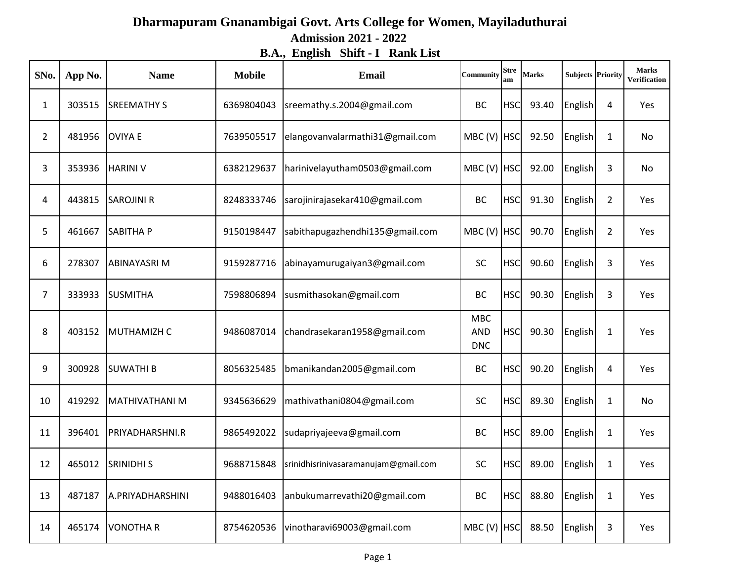## **Dharmapuram Gnanambigai Govt. Arts College for Women, Mayiladuthurai Admission 2021 - 2022 B.A., English Shift - I Rank List**

| SNo.           | App No. | <b>Name</b>         | <b>Mobile</b> | <b>Email</b>                         | Community                              | <b>Stre</b><br>am | <b>Marks</b> | <b>Subjects Priority</b> |                | <b>Marks</b><br>Verification |
|----------------|---------|---------------------|---------------|--------------------------------------|----------------------------------------|-------------------|--------------|--------------------------|----------------|------------------------------|
| $\mathbf{1}$   | 303515  | <b>SREEMATHY S</b>  | 6369804043    | sreemathy.s.2004@gmail.com           | <b>BC</b>                              | <b>HSC</b>        | 93.40        | English                  | 4              | Yes                          |
| $\overline{2}$ | 481956  | <b>OVIYA E</b>      | 7639505517    | elangovanvalarmathi31@gmail.com      | MBC(V)                                 | <b>HSC</b>        | 92.50        | English                  | $\mathbf{1}$   | No                           |
| 3              | 353936  | <b>HARINI V</b>     | 6382129637    | harinivelayutham0503@gmail.com       | MBC(V)                                 | <b>HSC</b>        | 92.00        | English                  | 3              | No                           |
| 4              | 443815  | <b>SAROJINI R</b>   | 8248333746    | sarojinirajasekar410@gmail.com       | <b>BC</b>                              | <b>HSC</b>        | 91.30        | English                  | $\overline{2}$ | <b>Yes</b>                   |
| 5              | 461667  | <b>SABITHAP</b>     | 9150198447    | sabithapugazhendhi135@gmail.com      | MBC(V)                                 | <b>HSC</b>        | 90.70        | English                  | $\overline{2}$ | Yes                          |
| 6              | 278307  | <b>ABINAYASRI M</b> | 9159287716    | abinayamurugaiyan3@gmail.com         | SC                                     | <b>HSC</b>        | 90.60        | English                  | 3              | Yes                          |
| 7              | 333933  | <b>SUSMITHA</b>     | 7598806894    | susmithasokan@gmail.com              | <b>BC</b>                              | <b>HSC</b>        | 90.30        | English                  | 3              | Yes                          |
| 8              | 403152  | MUTHAMIZH C         | 9486087014    | chandrasekaran1958@gmail.com         | <b>MBC</b><br><b>AND</b><br><b>DNC</b> | <b>HSC</b>        | 90.30        | English                  | $\mathbf 1$    | Yes                          |
| 9              | 300928  | <b>SUWATHI B</b>    | 8056325485    | bmanikandan2005@gmail.com            | <b>BC</b>                              | HSC               | 90.20        | English                  | 4              | Yes                          |
| 10             | 419292  | MATHIVATHANI M      | 9345636629    | mathivathani0804@gmail.com           | SC                                     | <b>HSC</b>        | 89.30        | English                  | $\mathbf{1}$   | No                           |
| 11             | 396401  | PRIYADHARSHNI.R     | 9865492022    | sudapriyajeeva@gmail.com             | <b>BC</b>                              | <b>HSC</b>        | 89.00        | English                  | $\mathbf{1}$   | Yes                          |
| 12             | 465012  | <b>SRINIDHI S</b>   | 9688715848    | srinidhisrinivasaramanujam@gmail.com | SC                                     | <b>HSC</b>        | 89.00        | English                  | $\mathbf{1}$   | <b>Yes</b>                   |
| 13             | 487187  | A.PRIYADHARSHINI    | 9488016403    | anbukumarrevathi20@gmail.com         | <b>BC</b>                              | <b>HSC</b>        | 88.80        | English                  | $\mathbf{1}$   | Yes                          |
| 14             | 465174  | <b>VONOTHAR</b>     | 8754620536    | vinotharavi69003@gmail.com           | MBC (V) HSC                            |                   | 88.50        | English                  | 3              | Yes                          |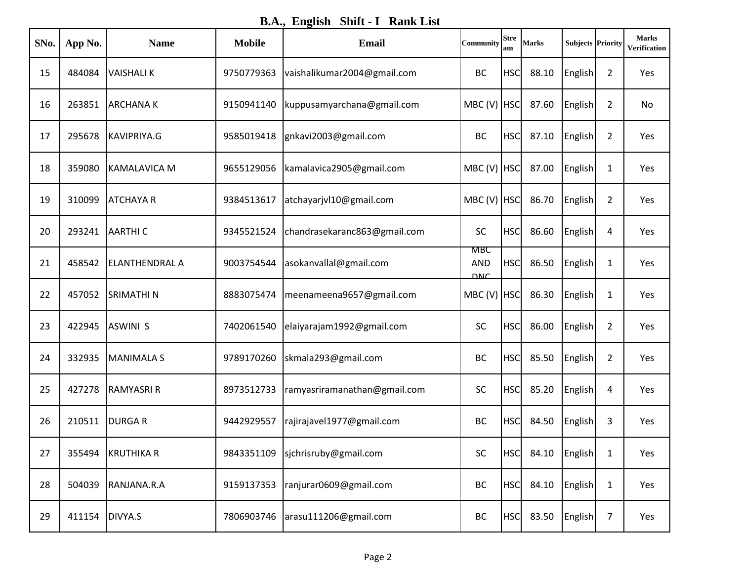**B.A., English Shift - I Rank List**

| SNo. | App No. | <b>Name</b>           | <b>Mobile</b> | <b>Email</b>                 | Community                       | <b>Stre</b><br>am | <b>Marks</b>      | <b>Subjects Priority</b> |                | <b>Marks</b><br>Verification |
|------|---------|-----------------------|---------------|------------------------------|---------------------------------|-------------------|-------------------|--------------------------|----------------|------------------------------|
| 15   | 484084  | <b>VAISHALIK</b>      | 9750779363    | vaishalikumar2004@gmail.com  | <b>BC</b>                       | <b>HSC</b>        | 88.10             | English                  | $\overline{2}$ | Yes                          |
| 16   | 263851  | <b>ARCHANAK</b>       | 9150941140    | kuppusamyarchana@gmail.com   | MBC (V) HSC                     |                   | 87.60             | English                  | 2              | No                           |
| 17   | 295678  | KAVIPRIYA.G           | 9585019418    | gnkavi2003@gmail.com         | BC                              | <b>HSC</b>        | 87.10             | English                  | $\overline{2}$ | Yes                          |
| 18   | 359080  | KAMALAVICA M          | 9655129056    | kamalavica2905@gmail.com     | MBC (V) HSC                     |                   | 87.00             | English                  | $\mathbf{1}$   | Yes                          |
| 19   | 310099  | <b>ATCHAYA R</b>      | 9384513617    | atchayarjvl10@gmail.com      | MBC (V) HSC                     |                   | 86.70             | English                  | $\overline{2}$ | Yes                          |
| 20   | 293241  | <b>AARTHIC</b>        | 9345521524    | chandrasekaranc863@gmail.com | <b>SC</b>                       | <b>HSC</b>        | 86.60             | English                  | 4              | Yes                          |
| 21   | 458542  | <b>ELANTHENDRAL A</b> | 9003754544    | asokanvallal@gmail.com       | MBC<br><b>AND</b><br><b>DNC</b> | <b>HSC</b>        | 86.50             | English                  | 1              | Yes                          |
| 22   | 457052  | <b>SRIMATHI N</b>     | 8883075474    | meenameena9657@gmail.com     | MBC (V) HSC                     |                   | 86.30             | English                  | 1              | Yes                          |
| 23   | 422945  | <b>ASWINI S</b>       | 7402061540    | elaiyarajam1992@gmail.com    | <b>SC</b>                       | <b>HSC</b>        | 86.00             | English                  | $\overline{2}$ | Yes                          |
| 24   | 332935  | <b>MANIMALA S</b>     | 9789170260    | skmala293@gmail.com          | <b>BC</b>                       | <b>HSC</b>        | 85.50             | English                  | $\overline{2}$ | Yes                          |
| 25   | 427278  | <b>RAMYASRI R</b>     | 8973512733    | ramyasriramanathan@gmail.com | <b>SC</b>                       | <b>HSC</b>        | 85.20             | English                  | 4              | Yes                          |
| 26   | 210511  | <b>DURGAR</b>         | 9442929557    | rajirajavel1977@gmail.com    | <b>BC</b>                       | <b>HSC</b>        | 84.50             | English                  | 3              | Yes                          |
| 27   | 355494  | <b>KRUTHIKA R</b>     | 9843351109    | sjchrisruby@gmail.com        | SC                              |                   | HSC 84.10 English |                          | $\mathbf{1}$   | Yes                          |
| 28   | 504039  | RANJANA.R.A           | 9159137353    | ranjurar0609@gmail.com       | BC                              | <b>HSC</b>        | 84.10             | English                  | $\mathbf{1}$   | Yes                          |
| 29   | 411154  | DIVYA.S               | 7806903746    | arasu111206@gmail.com        | BC                              | <b>HSC</b>        | 83.50             | English                  | $\overline{7}$ | Yes                          |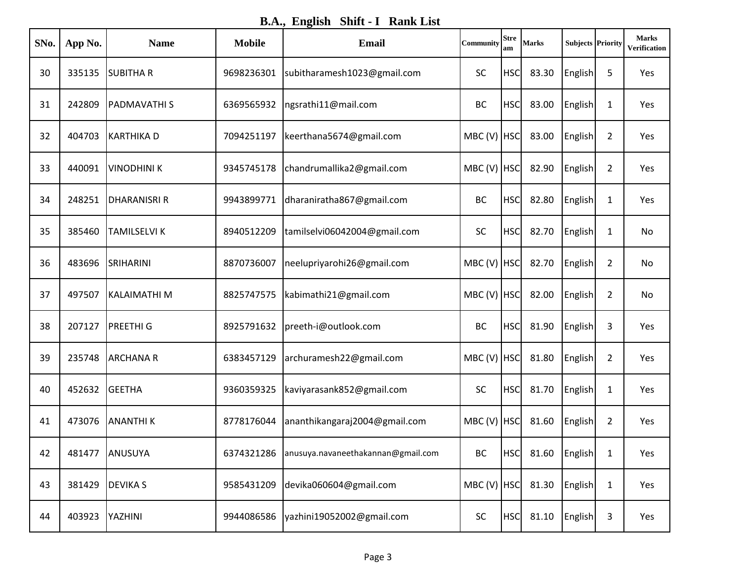**B.A., English Shift - I Rank List**

| SNo. | App No. | <b>Name</b>         | <b>Mobile</b> | <b>Email</b>                       | Community     | <b>Stre</b><br>am | <b>Marks</b> | <b>Subjects Priority</b> |                | <b>Marks</b><br><b>Verification</b> |
|------|---------|---------------------|---------------|------------------------------------|---------------|-------------------|--------------|--------------------------|----------------|-------------------------------------|
| 30   | 335135  | <b>SUBITHAR</b>     | 9698236301    | subitharamesh1023@gmail.com        | <b>SC</b>     | <b>HSC</b>        | 83.30        | English                  | 5              | Yes                                 |
| 31   | 242809  | <b>PADMAVATHIS</b>  | 6369565932    | ngsrathi11@mail.com                | <b>BC</b>     | <b>HSC</b>        | 83.00        | English                  | 1              | Yes                                 |
| 32   | 404703  | KARTHIKA D          | 7094251197    | keerthana5674@gmail.com            | MBC (V) HSC   |                   | 83.00        | English                  | $\overline{2}$ | Yes                                 |
| 33   | 440091  | <b>VINODHINI K</b>  | 9345745178    | chandrumallika2@gmail.com          | MBC (V) HSC   |                   | 82.90        | English                  | $\overline{2}$ | Yes                                 |
| 34   | 248251  | <b>DHARANISRI R</b> | 9943899771    | dharaniratha867@gmail.com          | BC            | <b>HSC</b>        | 82.80        | English                  | 1              | Yes                                 |
| 35   | 385460  | <b>TAMILSELVI K</b> | 8940512209    | tamilselvi06042004@gmail.com       | <b>SC</b>     | <b>HSC</b>        | 82.70        | English                  | 1              | No                                  |
| 36   | 483696  | SRIHARINI           | 8870736007    | neelupriyarohi26@gmail.com         | MBC (V) HSC   |                   | 82.70        | English                  | $\overline{2}$ | No                                  |
| 37   | 497507  | <b>KALAIMATHI M</b> | 8825747575    | kabimathi21@gmail.com              | MBC (V) HSC   |                   | 82.00        | English                  | $\overline{2}$ | No                                  |
| 38   | 207127  | <b>PREETHIG</b>     | 8925791632    | preeth-i@outlook.com               | <b>BC</b>     | <b>HSC</b>        | 81.90        | English                  | 3              | Yes                                 |
| 39   | 235748  | <b>ARCHANA R</b>    | 6383457129    | archuramesh22@gmail.com            | MBC (V)       | <b>HSC</b>        | 81.80        | English                  | $\overline{2}$ | Yes                                 |
| 40   | 452632  | <b>GEETHA</b>       | 9360359325    | kaviyarasank852@gmail.com          | <b>SC</b>     | <b>HSC</b>        | 81.70        | English                  | 1              | Yes                                 |
| 41   | 473076  | <b>ANANTHIK</b>     | 8778176044    | ananthikangaraj2004@gmail.com      | MBC (V) HSC   |                   | 81.60        | English                  | $\overline{2}$ | Yes                                 |
| 42   | 481477  | ANUSUYA             | 6374321286    | anusuya.navaneethakannan@gmail.com | BC            | <b>HSC</b>        | 81.60        | English                  | 1              | Yes                                 |
| 43   | 381429  | <b>DEVIKA S</b>     | 9585431209    | devika060604@gmail.com             | $MBC (V)$ HSC |                   | 81.30        | English                  | $\mathbf{1}$   | Yes                                 |
| 44   | 403923  | YAZHINI             | 9944086586    | yazhini19052002@gmail.com          | SC            | <b>HSC</b>        | 81.10        | English                  | 3              | Yes                                 |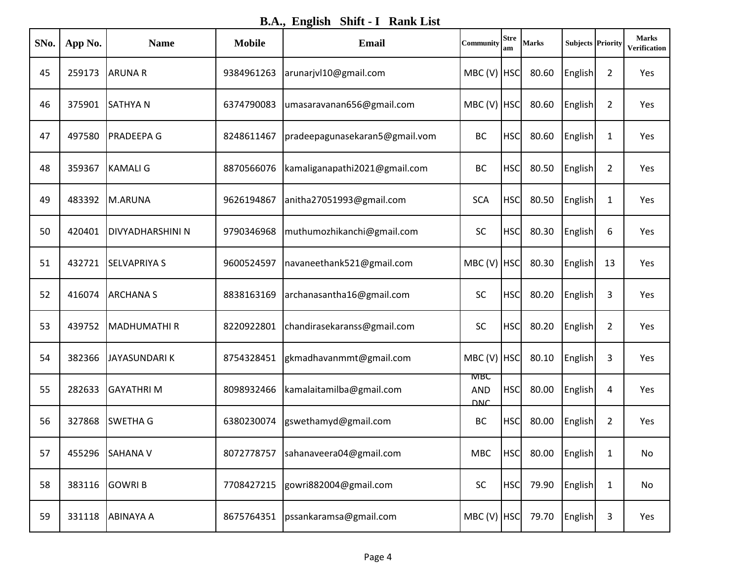**B.A., English Shift - I Rank List**

| SNo. | App No. | <b>Name</b>             | <b>Mobile</b> | <b>Email</b>                         | Community                       | <b>Stre</b><br>am | <b>Marks</b> | <b>Subjects Priority</b> |                | <b>Marks</b><br>Verification |
|------|---------|-------------------------|---------------|--------------------------------------|---------------------------------|-------------------|--------------|--------------------------|----------------|------------------------------|
| 45   | 259173  | <b>ARUNA R</b>          | 9384961263    | arunarjvl10@gmail.com                | MBC (V) HSC                     |                   | 80.60        | English                  | $\overline{2}$ | Yes                          |
| 46   | 375901  | <b>SATHYAN</b>          | 6374790083    | umasaravanan656@gmail.com            | MBC (V) HSC                     |                   | 80.60        | English                  | $\overline{2}$ | Yes                          |
| 47   | 497580  | <b>PRADEEPA G</b>       | 8248611467    | pradeepagunasekaran5@gmail.vom       | <b>BC</b>                       | <b>HSC</b>        | 80.60        | English                  | 1              | Yes                          |
| 48   | 359367  | <b>KAMALI G</b>         | 8870566076    | kamaliganapathi2021@gmail.com        | <b>BC</b>                       | <b>HSC</b>        | 80.50        | English                  | $\overline{2}$ | Yes                          |
| 49   | 483392  | M.ARUNA                 | 9626194867    | anitha27051993@gmail.com             | <b>SCA</b>                      | <b>HSC</b>        | 80.50        | English                  | $\mathbf{1}$   | Yes                          |
| 50   | 420401  | <b>DIVYADHARSHINI N</b> | 9790346968    | muthumozhikanchi@gmail.com           | <b>SC</b>                       | <b>HSC</b>        | 80.30        | English                  | 6              | Yes                          |
| 51   | 432721  | <b>SELVAPRIYA S</b>     | 9600524597    | navaneethank521@gmail.com            | MBC (V) HSC                     |                   | 80.30        | English                  | 13             | Yes                          |
| 52   | 416074  | <b>ARCHANA S</b>        | 8838163169    | archanasantha16@gmail.com            | <b>SC</b>                       | <b>HSC</b>        | 80.20        | English                  | 3              | Yes                          |
| 53   | 439752  | MADHUMATHI R            | 8220922801    | chandirasekaranss@gmail.com          | <b>SC</b>                       | <b>HSC</b>        | 80.20        | English                  | $\overline{2}$ | Yes                          |
| 54   | 382366  | <b>JAYASUNDARIK</b>     | 8754328451    | gkmadhavanmmt@gmail.com              | MBC(V)                          | <b>HSC</b>        | 80.10        | English                  | 3              | Yes                          |
| 55   | 282633  | <b>GAYATHRIM</b>        | 8098932466    | kamalaitamilba@gmail.com             | MBC<br><b>AND</b><br><b>DNC</b> | <b>HSC</b>        | 80.00        | English                  | 4              | Yes                          |
| 56   | 327868  | <b>SWETHA G</b>         | 6380230074    | gswethamyd@gmail.com                 | <b>BC</b>                       | <b>HSC</b>        | 80.00        | English                  | $\overline{2}$ | Yes                          |
| 57   | 455296  | SAHANA V                |               | 8072778757   sahanaveera04@gmail.com | <b>MBC</b>                      | <b>HSC</b>        |              | 80.00 English            | $\mathbf{1}$   | No                           |
| 58   | 383116  | <b>GOWRIB</b>           | 7708427215    | gowri882004@gmail.com                | <b>SC</b>                       | <b>HSC</b>        | 79.90        | English                  | $\mathbf{1}$   | No                           |
| 59   | 331118  | <b>ABINAYA A</b>        | 8675764351    | pssankaramsa@gmail.com               | MBC (V) HSC                     |                   | 79.70        | <b>English</b>           | 3              | Yes                          |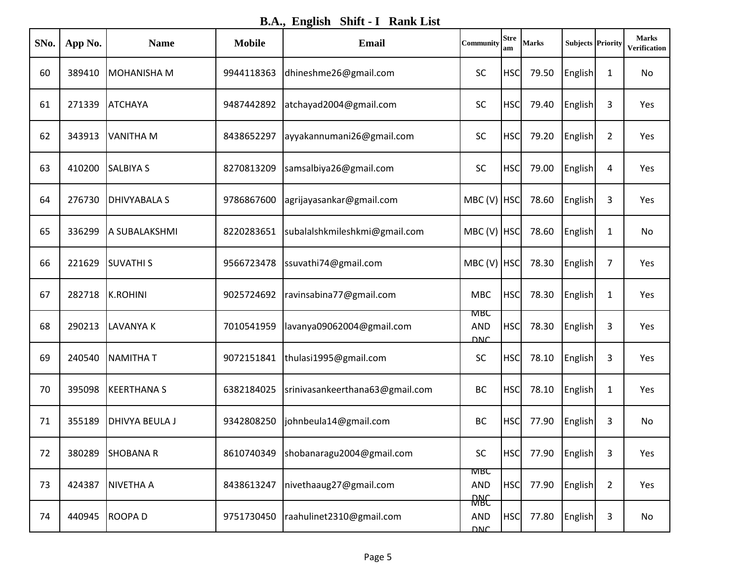**B.A., English Shift - I Rank List**

| SNo. | App No. | <b>Name</b>           | <b>Mobile</b> | <b>Email</b>                    | Community                               | <b>Stre</b><br>am | <b>Marks</b> | <b>Subjects Priority</b> |                | <b>Marks</b><br>Verification |
|------|---------|-----------------------|---------------|---------------------------------|-----------------------------------------|-------------------|--------------|--------------------------|----------------|------------------------------|
| 60   | 389410  | <b>MOHANISHA M</b>    | 9944118363    | dhineshme26@gmail.com           | <b>SC</b>                               | <b>HSC</b>        | 79.50        | English                  | 1              | No                           |
| 61   | 271339  | <b>ATCHAYA</b>        | 9487442892    | atchayad2004@gmail.com          | <b>SC</b>                               | <b>HSC</b>        | 79.40        | English                  | 3              | Yes                          |
| 62   | 343913  | <b>VANITHA M</b>      | 8438652297    | ayyakannumani26@gmail.com       | <b>SC</b>                               | <b>HSC</b>        | 79.20        | English                  | $\overline{2}$ | Yes                          |
| 63   | 410200  | <b>SALBIYA S</b>      | 8270813209    | samsalbiya26@gmail.com          | <b>SC</b>                               | <b>HSC</b>        | 79.00        | English                  | 4              | Yes                          |
| 64   | 276730  | <b>DHIVYABALA S</b>   | 9786867600    | agrijayasankar@gmail.com        | MBC (V) HSC                             |                   | 78.60        | English                  | 3              | Yes                          |
| 65   | 336299  | A SUBALAKSHMI         | 8220283651    | subalalshkmileshkmi@gmail.com   | MBC (V) HSC                             |                   | 78.60        | English                  | 1              | No                           |
| 66   | 221629  | <b>SUVATHIS</b>       | 9566723478    | ssuvathi74@gmail.com            | $MBC (V)$ HSC                           |                   | 78.30        | English                  | 7              | Yes                          |
| 67   | 282718  | K.ROHINI              | 9025724692    | ravinsabina77@gmail.com         | <b>MBC</b>                              | <b>HSC</b>        | 78.30        | English                  | 1              | Yes                          |
| 68   | 290213  | <b>LAVANYA K</b>      | 7010541959    | lavanya09062004@gmail.com       | <b>MBC</b><br><b>AND</b><br><b>DNC</b>  | <b>HSC</b>        | 78.30        | English                  | 3              | Yes                          |
| 69   | 240540  | <b>NAMITHAT</b>       | 9072151841    | thulasi1995@gmail.com           | <b>SC</b>                               | <b>HSC</b>        | 78.10        | English                  | 3              | Yes                          |
| 70   | 395098  | <b>KEERTHANAS</b>     | 6382184025    | srinivasankeerthana63@gmail.com | <b>BC</b>                               | <b>HSC</b>        | 78.10        | English                  | 1              | Yes                          |
| 71   | 355189  | <b>DHIVYA BEULA J</b> | 9342808250    | johnbeula14@gmail.com           | <b>BC</b>                               | <b>HSC</b>        | 77.90        | English                  | 3              | No                           |
| 72   | 380289  | <b>SHOBANAR</b>       | 8610740349    | shobanaragu2004@gmail.com       | SC                                      | <b>HSC</b>        | 77.90        | English                  | 3              | Yes                          |
| 73   | 424387  | <b>NIVETHA A</b>      | 8438613247    | nivethaaug27@gmail.com          | <b>MBC</b><br><b>AND</b>                | <b>HSC</b>        | 77.90        | <b>English</b>           | $\overline{2}$ | Yes                          |
| 74   | 440945  | <b>ROOPAD</b>         | 9751730450    | raahulinet2310@gmail.com        | <b>RARC</b><br><b>AND</b><br><b>DNC</b> | <b>HSC</b>        | 77.80        | English                  | 3              | No                           |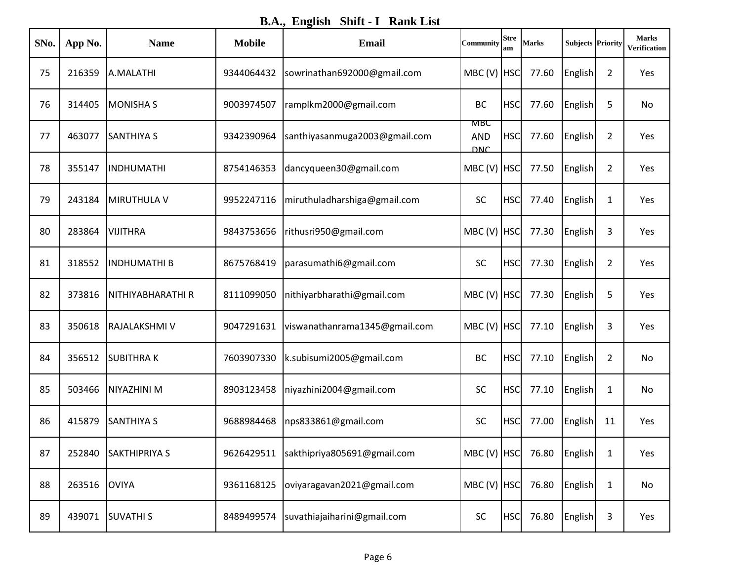**B.A., English Shift - I Rank List**

| SNo. | App No. | <b>Name</b>          | <b>Mobile</b> | <b>Email</b>                  | Community                       | <b>Stre</b><br>am | <b>Marks</b> | <b>Subjects Priority</b> |                | <b>Marks</b><br>Verification |
|------|---------|----------------------|---------------|-------------------------------|---------------------------------|-------------------|--------------|--------------------------|----------------|------------------------------|
| 75   | 216359  | A.MALATHI            | 9344064432    | sowrinathan692000@gmail.com   | $MBC (V)$ HSC                   |                   | 77.60        | English                  | 2              | Yes                          |
| 76   | 314405  | <b>MONISHA S</b>     | 9003974507    | ramplkm2000@gmail.com         | <b>BC</b>                       | <b>HSC</b>        | 77.60        | English                  | 5              | No                           |
| 77   | 463077  | <b>SANTHIYA S</b>    | 9342390964    | santhiyasanmuga2003@gmail.com | мвс<br><b>AND</b><br><b>DNC</b> | <b>HSC</b>        | 77.60        | English                  | $\overline{2}$ | Yes                          |
| 78   | 355147  | <b>INDHUMATHI</b>    | 8754146353    | dancyqueen30@gmail.com        | $MBC (V)$ HSC                   |                   | 77.50        | English                  | $\overline{2}$ | Yes                          |
| 79   | 243184  | MIRUTHULA V          | 9952247116    | miruthuladharshiga@gmail.com  | <b>SC</b>                       | <b>HSC</b>        | 77.40        | English                  | $\mathbf{1}$   | Yes                          |
| 80   | 283864  | <b>VIJITHRA</b>      | 9843753656    | rithusri950@gmail.com         | $MBC (V)$ HSC                   |                   | 77.30        | English                  | 3              | Yes                          |
| 81   | 318552  | <b>INDHUMATHI B</b>  | 8675768419    | parasumathi6@gmail.com        | SC                              | <b>HSC</b>        | 77.30        | English                  | 2              | Yes                          |
| 82   | 373816  | NITHIYABHARATHI R    | 8111099050    | nithiyarbharathi@gmail.com    | $MBC (V)$ HSC                   |                   | 77.30        | English                  | 5              | Yes                          |
| 83   | 350618  | <b>RAJALAKSHMIV</b>  | 9047291631    | viswanathanrama1345@gmail.com | MBC (V) HSC                     |                   | 77.10        | English                  | 3              | Yes                          |
| 84   | 356512  | <b>SUBITHRAK</b>     | 7603907330    | k.subisumi2005@gmail.com      | <b>BC</b>                       | <b>HSC</b>        | 77.10        | English                  | $\overline{2}$ | No                           |
| 85   | 503466  | NIYAZHINI M          | 8903123458    | niyazhini2004@gmail.com       | <b>SC</b>                       | <b>HSC</b>        | 77.10        | English                  | 1              | No                           |
| 86   | 415879  | <b>SANTHIYA S</b>    | 9688984468    | nps833861@gmail.com           | <b>SC</b>                       | <b>HSC</b>        | 77.00        | English                  | 11             | Yes                          |
| 87   | 252840  | <b>SAKTHIPRIYA S</b> | 9626429511    | sakthipriya805691@gmail.com   | $MBC (V)$ HSC                   |                   | 76.80        | English                  | $\mathbf{1}$   | Yes                          |
| 88   | 263516  | <b>OVIYA</b>         | 9361168125    | oviyaragavan2021@gmail.com    | MBC (V) HSC                     |                   | 76.80        | English                  | $\mathbf{1}$   | No                           |
| 89   | 439071  | <b>SUVATHIS</b>      | 8489499574    | suvathiajaiharini@gmail.com   | SC                              | <b>HSC</b>        | 76.80        | English                  | 3              | Yes                          |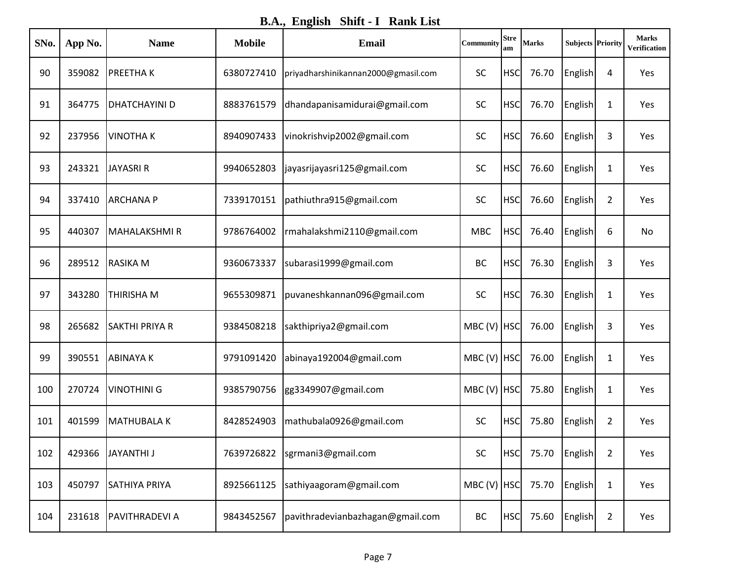**B.A., English Shift - I Rank List**

| SNo. | App No. | <b>Name</b>           | <b>Mobile</b> | <b>Email</b>                        | Community   | <b>Stre</b><br>am | <b>Marks</b> | <b>Subjects Priority</b> |                | <b>Marks</b><br>Verification |
|------|---------|-----------------------|---------------|-------------------------------------|-------------|-------------------|--------------|--------------------------|----------------|------------------------------|
| 90   | 359082  | <b>PREETHAK</b>       | 6380727410    | priyadharshinikannan2000@gmasil.com | <b>SC</b>   | <b>HSC</b>        | 76.70        | English                  | 4              | Yes                          |
| 91   | 364775  | <b>DHATCHAYINI D</b>  | 8883761579    | dhandapanisamidurai@gmail.com       | <b>SC</b>   | <b>HSC</b>        | 76.70        | English                  | 1              | Yes                          |
| 92   | 237956  | <b>VINOTHAK</b>       | 8940907433    | vinokrishvip2002@gmail.com          | <b>SC</b>   | <b>HSC</b>        | 76.60        | English                  | 3              | Yes                          |
| 93   | 243321  | <b>JAYASRI R</b>      | 9940652803    | jayasrijayasri125@gmail.com         | <b>SC</b>   | <b>HSC</b>        | 76.60        | English                  | 1              | Yes                          |
| 94   | 337410  | <b>ARCHANAP</b>       | 7339170151    | pathiuthra915@gmail.com             | <b>SC</b>   | <b>HSC</b>        | 76.60        | English                  | $\overline{2}$ | Yes                          |
| 95   | 440307  | MAHALAKSHMI R         | 9786764002    | rmahalakshmi2110@gmail.com          | <b>MBC</b>  | <b>HSC</b>        | 76.40        | English                  | 6              | No                           |
| 96   | 289512  | <b>RASIKA M</b>       | 9360673337    | subarasi1999@gmail.com              | <b>BC</b>   | <b>HSC</b>        | 76.30        | English                  | 3              | Yes                          |
| 97   | 343280  | <b>THIRISHA M</b>     | 9655309871    | puvaneshkannan096@gmail.com         | SC          | <b>HSC</b>        | 76.30        | English                  | 1              | Yes                          |
| 98   | 265682  | <b>SAKTHI PRIYA R</b> | 9384508218    | sakthipriya2@gmail.com              | MBC (V) HSC |                   | 76.00        | English                  | 3              | Yes                          |
| 99   | 390551  | <b>ABINAYAK</b>       | 9791091420    | abinaya192004@gmail.com             | MBC (V) HSC |                   | 76.00        | English                  | 1              | Yes                          |
| 100  | 270724  | <b>VINOTHINI G</b>    | 9385790756    | gg3349907@gmail.com                 | MBC (V) HSC |                   | 75.80        | English                  | $\mathbf{1}$   | Yes                          |
| 101  | 401599  | MATHUBALA K           | 8428524903    | mathubala0926@gmail.com             | SC          | <b>HSC</b>        | 75.80        | English                  | $\overline{2}$ | Yes                          |
| 102  | 429366  | JAYANTHI J            | 7639726822    | sgrmani3@gmail.com                  | SC          | <b>HSC</b>        | 75.70        | English                  | $\overline{2}$ | Yes                          |
| 103  | 450797  | <b>SATHIYA PRIYA</b>  | 8925661125    | sathiyaagoram@gmail.com             | MBC (V) HSC |                   | 75.70        | English                  | $\mathbf{1}$   | Yes                          |
| 104  | 231618  | <b>PAVITHRADEVI A</b> | 9843452567    | pavithradevianbazhagan@gmail.com    | BC          | <b>HSC</b>        | 75.60        | English                  | $\overline{2}$ | Yes                          |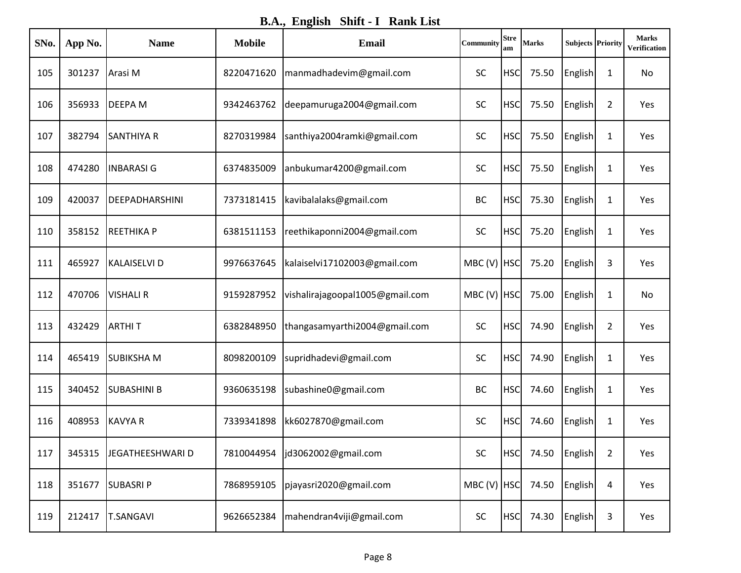**B.A., English Shift - I Rank List**

| SNo. | App No. | <b>Name</b>           | <b>Mobile</b> | <b>Email</b>                    | Community     | <b>Stre</b><br>am | <b>Marks</b>      | <b>Subjects Priority</b> |                | <b>Marks</b><br>Verification |
|------|---------|-----------------------|---------------|---------------------------------|---------------|-------------------|-------------------|--------------------------|----------------|------------------------------|
| 105  | 301237  | Arasi M               | 8220471620    | manmadhadevim@gmail.com         | <b>SC</b>     | <b>HSC</b>        | 75.50             | English                  | 1              | No                           |
| 106  | 356933  | <b>DEEPAM</b>         | 9342463762    | deepamuruga2004@gmail.com       | <b>SC</b>     | <b>HSC</b>        | 75.50             | English                  | 2              | Yes                          |
| 107  | 382794  | <b>SANTHIYA R</b>     | 8270319984    | santhiya2004ramki@gmail.com     | SC            | <b>HSC</b>        | 75.50             | English                  | 1              | Yes                          |
| 108  | 474280  | <b>INBARASIG</b>      | 6374835009    | anbukumar4200@gmail.com         | <b>SC</b>     | <b>HSC</b>        | 75.50             | English                  | $\mathbf{1}$   | Yes                          |
| 109  | 420037  | <b>DEEPADHARSHINI</b> | 7373181415    | kavibalalaks@gmail.com          | <b>BC</b>     | <b>HSC</b>        | 75.30             | English                  | 1              | Yes                          |
| 110  | 358152  | <b>REETHIKAP</b>      | 6381511153    | reethikaponni2004@gmail.com     | SC            | <b>HSC</b>        | 75.20             | English                  | $\mathbf{1}$   | Yes                          |
| 111  | 465927  | KALAISELVI D          | 9976637645    | kalaiselvi17102003@gmail.com    | MBC(V)        | <b>HSC</b>        | 75.20             | English                  | 3              | Yes                          |
| 112  | 470706  | <b>VISHALI R</b>      | 9159287952    | vishalirajagoopal1005@gmail.com | MBC (V) HSC   |                   | 75.00             | English                  | 1              | No                           |
| 113  | 432429  | <b>ARTHIT</b>         | 6382848950    | thangasamyarthi2004@gmail.com   | SC            | <b>HSC</b>        | 74.90             | English                  | $\overline{2}$ | Yes                          |
| 114  | 465419  | <b>SUBIKSHAM</b>      | 8098200109    | supridhadevi@gmail.com          | <b>SC</b>     | <b>HSC</b>        | 74.90             | English                  | 1              | Yes                          |
| 115  | 340452  | <b>SUBASHINI B</b>    | 9360635198    | subashine0@gmail.com            | <b>BC</b>     | <b>HSC</b>        | 74.60             | English                  | $\mathbf{1}$   | Yes                          |
| 116  | 408953  | <b>KAVYA R</b>        | 7339341898    | kk6027870@gmail.com             | SC            | <b>HSC</b>        | 74.60             | English                  | 1              | Yes                          |
| 117  | 345315  | JEGATHEESHWARI D      | 7810044954    | jd3062002@gmail.com             | SC            |                   | HSC 74.50 English |                          | $\overline{2}$ | Yes                          |
| 118  | 351677  | <b>SUBASRIP</b>       | 7868959105    | pjayasri2020@gmail.com          | $MBC (V)$ HSC |                   | 74.50             | English                  | 4              | Yes                          |
| 119  | 212417  | <b>T.SANGAVI</b>      | 9626652384    | mahendran4viji@gmail.com        | SC            | <b>HSC</b>        | 74.30             | <b>English</b>           | 3              | Yes                          |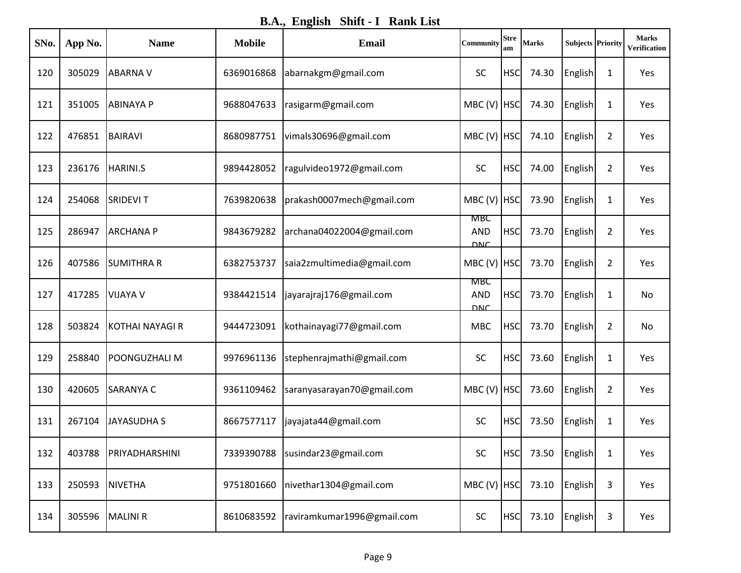**B.A., English Shift - I Rank List**

| SNo. | App No. | <b>Name</b>        | <b>Mobile</b> | <b>Email</b>               | Community                              | <b>Stre</b><br>am | <b>Marks</b> | <b>Subjects Priority</b> |                | <b>Marks</b><br><b>Verification</b> |
|------|---------|--------------------|---------------|----------------------------|----------------------------------------|-------------------|--------------|--------------------------|----------------|-------------------------------------|
| 120  | 305029  | <b>ABARNAV</b>     | 6369016868    | abarnakgm@gmail.com        | <b>SC</b>                              | <b>HSC</b>        | 74.30        | English                  | 1              | Yes                                 |
| 121  | 351005  | <b>ABINAYA P</b>   | 9688047633    | rasigarm@gmail.com         | $MBC (V)$ HSC                          |                   | 74.30        | English                  | 1              | Yes                                 |
| 122  | 476851  | BAIRAVI            | 8680987751    | vimals30696@gmail.com      | $MBC (V)$ HSC                          |                   | 74.10        | <b>English</b>           | 2              | Yes                                 |
| 123  | 236176  | <b>HARINI.S</b>    | 9894428052    | ragulvideo1972@gmail.com   | <b>SC</b>                              | <b>HSC</b>        | 74.00        | English                  | $\overline{2}$ | Yes                                 |
| 124  | 254068  | <b>SRIDEVIT</b>    | 7639820638    | prakash0007mech@gmail.com  | MBC (V) HSC                            |                   | 73.90        | English                  | 1              | Yes                                 |
| 125  | 286947  | <b>ARCHANA P</b>   | 9843679282    | archana04022004@gmail.com  | мвс<br><b>AND</b><br><b>DNC</b>        | <b>HSC</b>        | 73.70        | English                  | $\overline{2}$ | Yes                                 |
| 126  | 407586  | <b>SUMITHRA R</b>  | 6382753737    | saia2zmultimedia@gmail.com | MBC (V) HSC                            |                   | 73.70        | English                  | $\overline{2}$ | Yes                                 |
| 127  | 417285  | <b>VIJAYA V</b>    | 9384421514    | jayarajraj176@gmail.com    | <b>MRC</b><br><b>AND</b><br><b>DNC</b> | <b>HSC</b>        | 73.70        | English                  | 1              | No                                  |
| 128  | 503824  | KOTHAI NAYAGI R    | 9444723091    | kothainayagi77@gmail.com   | <b>MBC</b>                             | <b>HSC</b>        | 73.70        | <b>English</b>           | $\overline{2}$ | No                                  |
| 129  | 258840  | POONGUZHALI M      | 9976961136    | stephenrajmathi@gmail.com  | <b>SC</b>                              | <b>HSC</b>        | 73.60        | English                  | 1              | Yes                                 |
| 130  | 420605  | <b>SARANYA C</b>   | 9361109462    | saranyasarayan70@gmail.com | $MBC (V)$ HSC                          |                   | 73.60        | English                  | $\overline{2}$ | Yes                                 |
| 131  | 267104  | <b>JAYASUDHA S</b> | 8667577117    | jayajata44@gmail.com       | <b>SC</b>                              | <b>HSC</b>        | 73.50        | English                  | 1              | Yes                                 |
| 132  | 403788  | PRIYADHARSHINI     | 7339390788    | susindar23@gmail.com       | <b>SC</b>                              | <b>HSC</b>        | 73.50        | English                  | $\mathbf{1}$   | Yes                                 |
| 133  | 250593  | NIVETHA            | 9751801660    | nivethar1304@gmail.com     | MBC (V) HSC                            |                   | 73.10        | <b>English</b>           | 3              | Yes                                 |
| 134  | 305596  | <b>MALINI R</b>    | 8610683592    | raviramkumar1996@gmail.com | <b>SC</b>                              | <b>HSC</b>        | 73.10        | <b>English</b>           | 3              | Yes                                 |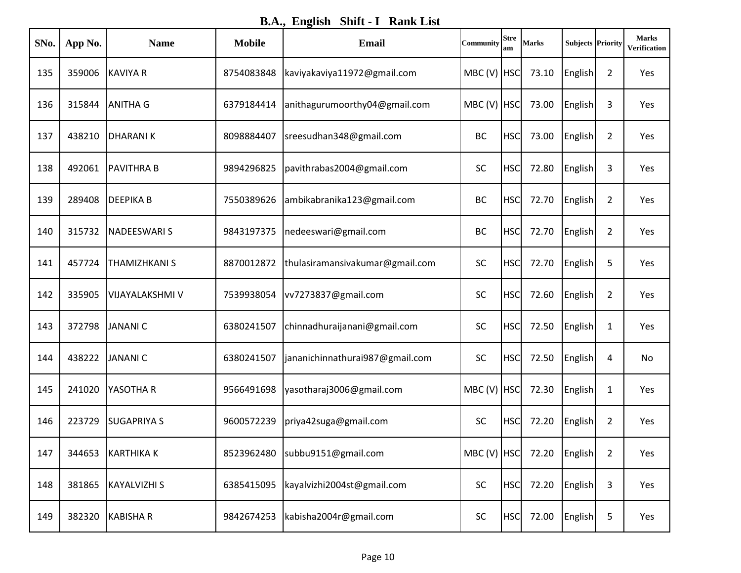**B.A., English Shift - I Rank List**

| SNo. | App No. | <b>Name</b>        | <b>Mobile</b> | Email                            | Community   | <b>Stre</b><br>am | <b>Marks</b>                      | <b>Subjects Priority</b> |                | <b>Marks</b><br>Verification |
|------|---------|--------------------|---------------|----------------------------------|-------------|-------------------|-----------------------------------|--------------------------|----------------|------------------------------|
| 135  | 359006  | <b>KAVIYA R</b>    | 8754083848    | kaviyakaviya11972@gmail.com      | MBC (V) HSC |                   | 73.10                             | English                  | $\overline{2}$ | Yes                          |
| 136  | 315844  | <b>ANITHA G</b>    | 6379184414    | anithagurumoorthy04@gmail.com    | MBC (V) HSC |                   | 73.00                             | English                  | 3              | Yes                          |
| 137  | 438210  | <b>DHARANIK</b>    | 8098884407    | sreesudhan348@gmail.com          | <b>BC</b>   | <b>HSC</b>        | 73.00                             | English                  | $\overline{2}$ | Yes                          |
| 138  | 492061  | <b>PAVITHRA B</b>  | 9894296825    | pavithrabas2004@gmail.com        | <b>SC</b>   | <b>HSC</b>        | 72.80                             | English                  | 3              | Yes                          |
| 139  | 289408  | <b>DEEPIKAB</b>    | 7550389626    | ambikabranika123@gmail.com       | <b>BC</b>   | <b>HSC</b>        | 72.70                             | English                  | $\overline{2}$ | Yes                          |
| 140  | 315732  | <b>NADEESWARIS</b> | 9843197375    | nedeeswari@gmail.com             | <b>BC</b>   | <b>HSC</b>        | 72.70                             | English                  | $\overline{2}$ | Yes                          |
| 141  | 457724  | THAMIZHKANI S      | 8870012872    | thulasiramansivakumar@gmail.com  | <b>SC</b>   | <b>HSC</b>        | 72.70                             | English                  | 5              | Yes                          |
| 142  | 335905  | VIJAYALAKSHMI V    | 7539938054    | vv7273837@gmail.com              | SC          | <b>HSC</b>        | 72.60                             | English                  | $\overline{2}$ | Yes                          |
| 143  | 372798  | <b>JANANIC</b>     | 6380241507    | chinnadhuraijanani@gmail.com     | SC          | <b>HSC</b>        | 72.50                             | English                  | 1              | Yes                          |
| 144  | 438222  | <b>JANANIC</b>     | 6380241507    | jananichinnathurai987@gmail.com  | <b>SC</b>   | <b>HSC</b>        | 72.50                             | English                  | 4              | No                           |
| 145  | 241020  | YASOTHA R          | 9566491698    | yasotharaj3006@gmail.com         | MBC (V) HSC |                   | 72.30                             | English                  | $\mathbf{1}$   | Yes                          |
| 146  | 223729  | <b>SUGAPRIYA S</b> | 9600572239    | priya42suga@gmail.com            | <b>SC</b>   | <b>HSC</b>        | 72.20                             | English                  | $\overline{2}$ | Yes                          |
| 147  | 344653  | KARTHIKA K         |               | 8523962480   subbu9151@gmail.com |             |                   | MBC (V) $ HSC $ 72.20 $ English $ |                          | $\overline{2}$ | Yes                          |
| 148  | 381865  | KAYALVIZHI S       | 6385415095    | kayalvizhi2004st@gmail.com       | <b>SC</b>   | <b>HSC</b>        | 72.20                             | English                  | 3              | Yes                          |
| 149  | 382320  | <b>KABISHAR</b>    | 9842674253    | kabisha2004r@gmail.com           | SC          | <b>HSC</b>        | 72.00                             | English                  | 5              | Yes                          |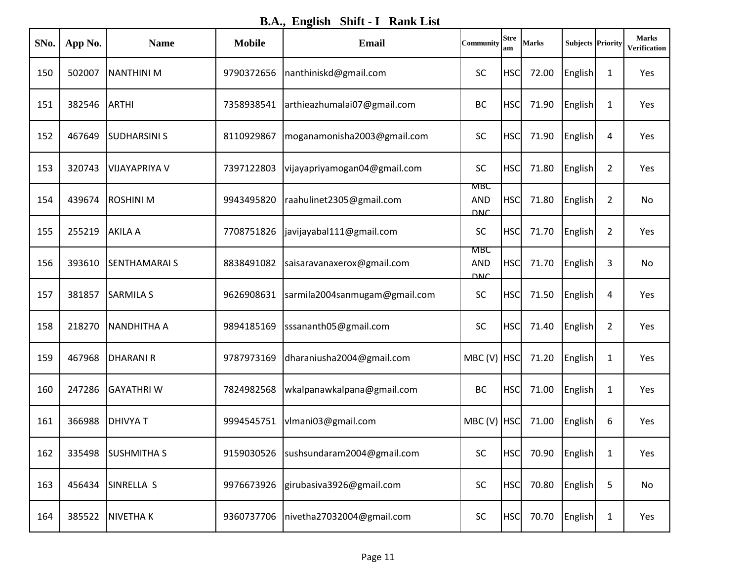**B.A., English Shift - I Rank List**

| SNo. | App No. | <b>Name</b>           | <b>Mobile</b> | <b>Email</b>                           | Community                       | <b>Stre</b><br>am | <b>Marks</b> | <b>Subjects Priority</b> |                | <b>Marks</b><br>Verification |
|------|---------|-----------------------|---------------|----------------------------------------|---------------------------------|-------------------|--------------|--------------------------|----------------|------------------------------|
| 150  | 502007  | <b>NANTHINI M</b>     | 9790372656    | nanthiniskd@gmail.com                  | <b>SC</b>                       | <b>HSC</b>        | 72.00        | English                  | 1              | Yes                          |
| 151  | 382546  | <b>ARTHI</b>          | 7358938541    | arthieazhumalai07@gmail.com            | <b>BC</b>                       | <b>HSC</b>        | 71.90        | English                  | $\mathbf{1}$   | Yes                          |
| 152  | 467649  | <b>SUDHARSINI S</b>   | 8110929867    | moganamonisha2003@gmail.com            | <b>SC</b>                       | <b>HSC</b>        | 71.90        | English                  | 4              | Yes                          |
| 153  | 320743  | <b>VIJAYAPRIYA V</b>  | 7397122803    | vijayapriyamogan04@gmail.com           | <b>SC</b>                       | <b>HSC</b>        | 71.80        | English                  | 2              | Yes                          |
| 154  | 439674  | <b>ROSHINI M</b>      | 9943495820    | raahulinet2305@gmail.com               | MBC<br><b>AND</b><br><b>DNC</b> | <b>HSC</b>        | 71.80        | English                  | $\overline{2}$ | No                           |
| 155  | 255219  | <b>AKILA A</b>        | 7708751826    | javijayabal111@gmail.com               | <b>SC</b>                       | <b>HSC</b>        | 71.70        | English                  | $\overline{2}$ | Yes                          |
| 156  | 393610  | <b>SENTHAMARAI S</b>  | 8838491082    | saisaravanaxerox@gmail.com             | MBC<br><b>AND</b><br><b>DNC</b> | <b>HSC</b>        | 71.70        | English                  | 3              | No                           |
| 157  | 381857  | <b>SARMILA S</b>      | 9626908631    | sarmila2004sanmugam@gmail.com          | SC                              | <b>HSC</b>        | 71.50        | English                  | 4              | Yes                          |
| 158  | 218270  | <b>NANDHITHA A</b>    | 9894185169    | sssananth05@gmail.com                  | <b>SC</b>                       | <b>HSC</b>        | 71.40        | English                  | $\overline{2}$ | Yes                          |
| 159  | 467968  | <b>DHARANIR</b>       | 9787973169    | dharaniusha2004@gmail.com              | $MBC (V)$ HSC                   |                   | 71.20        | English                  | 1              | Yes                          |
| 160  | 247286  | <b>GAYATHRIW</b>      | 7824982568    | wkalpanawkalpana@gmail.com             | <b>BC</b>                       | <b>HSC</b>        | 71.00        | English                  | $\mathbf 1$    | Yes                          |
| 161  | 366988  | <b>DHIVYAT</b>        | 9994545751    | vlmani03@gmail.com                     | MBC (V) HSC                     |                   | 71.00        | English                  | 6              | Yes                          |
| 162  | 335498  | <b>SUSHMITHAS</b>     |               | 9159030526  sushsundaram2004@gmail.com | SC                              | <b>HSC</b>        |              | 70.90 English            | $\mathbf{1}$   | Yes                          |
| 163  | 456434  | SINRELLA <sub>S</sub> | 9976673926    | girubasiva3926@gmail.com               | SC                              | <b>HSC</b>        | 70.80        | English                  | 5              | No                           |
| 164  | 385522  | <b>NIVETHAK</b>       | 9360737706    | nivetha27032004@gmail.com              | SC                              | <b>HSC</b>        | 70.70        | <b>English</b>           | $\mathbf{1}$   | Yes                          |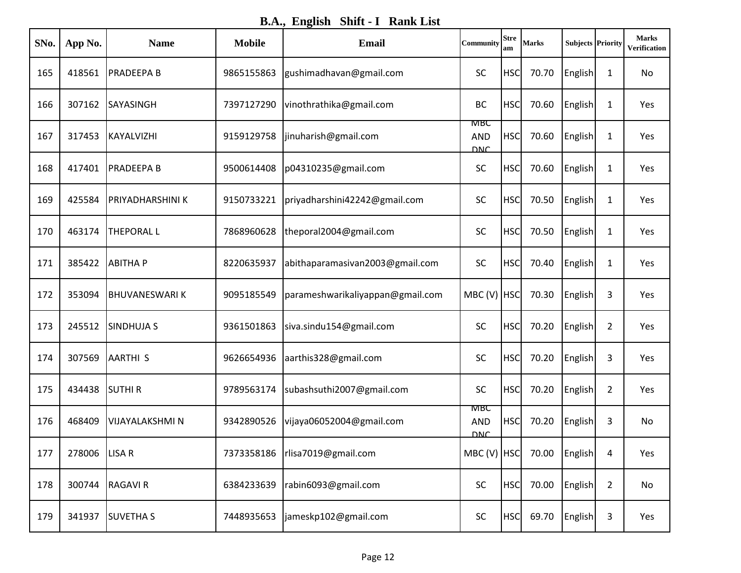**B.A., English Shift - I Rank List**

| SNo. | App No.         | <b>Name</b>          | <b>Mobile</b> | <b>Email</b>                     | Community                       | <b>Stre</b><br>am | <b>Marks</b>                      | <b>Subjects Priority</b> |                | <b>Marks</b><br>Verification |
|------|-----------------|----------------------|---------------|----------------------------------|---------------------------------|-------------------|-----------------------------------|--------------------------|----------------|------------------------------|
| 165  | 418561          | <b>PRADEEPA B</b>    | 9865155863    | gushimadhavan@gmail.com          | <b>SC</b>                       | <b>HSC</b>        | 70.70                             | English                  | 1              | No                           |
| 166  | 307162          | <b>SAYASINGH</b>     | 7397127290    | vinothrathika@gmail.com          | <b>BC</b>                       | <b>HSC</b>        | 70.60                             | English                  | 1              | Yes                          |
| 167  | 317453          | KAYALVIZHI           | 9159129758    | jinuharish@gmail.com             | MBC<br><b>AND</b><br><b>DNC</b> | <b>HSC</b>        | 70.60                             | English                  | 1              | Yes                          |
| 168  | 417401          | <b>PRADEEPA B</b>    | 9500614408    | p04310235@gmail.com              | SC                              | <b>HSC</b>        | 70.60                             | English                  | 1              | Yes                          |
| 169  | 425584          | PRIYADHARSHINI K     | 9150733221    | priyadharshini42242@gmail.com    | <b>SC</b>                       | <b>HSC</b>        | 70.50                             | English                  | 1              | Yes                          |
| 170  | 463174          | <b>THEPORAL L</b>    | 7868960628    | theporal2004@gmail.com           | SC                              | <b>HSC</b>        | 70.50                             | English                  | $\mathbf{1}$   | Yes                          |
| 171  | 385422          | <b>ABITHAP</b>       | 8220635937    | abithaparamasivan2003@gmail.com  | <b>SC</b>                       | <b>HSC</b>        | 70.40                             | English                  | 1              | Yes                          |
| 172  | 353094          | <b>BHUVANESWARIK</b> | 9095185549    | parameshwarikaliyappan@gmail.com | MBC (V) HSC                     |                   | 70.30                             | English                  | 3              | Yes                          |
| 173  | 245512          | <b>SINDHUJA S</b>    | 9361501863    | siva.sindu154@gmail.com          | <b>SC</b>                       | <b>HSC</b>        | 70.20                             | English                  | $\overline{2}$ | Yes                          |
| 174  | 307569          | <b>AARTHIS</b>       | 9626654936    | aarthis328@gmail.com             | <b>SC</b>                       | <b>HSC</b>        | 70.20                             | English                  | 3              | Yes                          |
| 175  | 434438          | <b>SUTHIR</b>        | 9789563174    | subashsuthi2007@gmail.com        | <b>SC</b>                       | <b>HSC</b>        | 70.20                             | English                  | $\overline{2}$ | Yes                          |
| 176  | 468409          | VIJAYALAKSHMI N      | 9342890526    | vijaya06052004@gmail.com         | <b>MRC</b><br><b>AND</b><br>סאס | <b>HSC</b>        | 70.20                             | English                  | 3              | No                           |
| 177  | 278006   LISA R |                      | 7373358186    | rlisa7019@gmail.com              |                                 |                   | MBC (V) $ HSC $ 70.00 $ English $ |                          | 4              | Yes                          |
| 178  | 300744          | <b>RAGAVI R</b>      | 6384233639    | rabin6093@gmail.com              | <b>SC</b>                       | <b>HSC</b>        | 70.00                             | English                  | $\overline{2}$ | No                           |
| 179  | 341937          | <b>SUVETHAS</b>      | 7448935653    | jameskp102@gmail.com             | SC                              | <b>HSC</b>        | 69.70                             | English                  | 3              | Yes                          |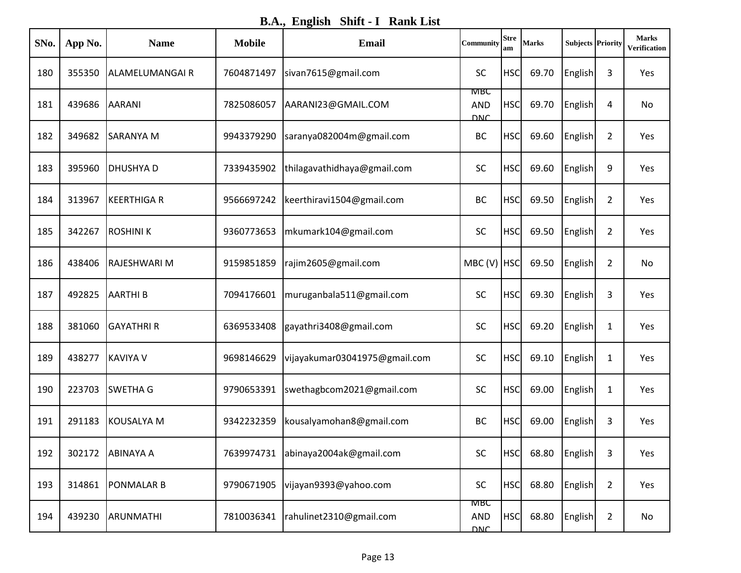**B.A., English Shift - I Rank List**

| SNo. | App No. | <b>Name</b>          | <b>Mobile</b> | <b>Email</b>                  | <b>Community</b>                | <b>Stre</b><br>am | <b>Marks</b> | <b>Subjects Priority</b> |                | <b>Marks</b><br>Verification |
|------|---------|----------------------|---------------|-------------------------------|---------------------------------|-------------------|--------------|--------------------------|----------------|------------------------------|
| 180  | 355350  | ALAMELUMANGAI R      | 7604871497    | sivan7615@gmail.com           | <b>SC</b>                       | <b>HSC</b>        | 69.70        | English                  | 3              | Yes                          |
| 181  | 439686  | <b>AARANI</b>        | 7825086057    | AARANI23@GMAIL.COM            | мвс<br><b>AND</b><br><b>DNC</b> | <b>HSC</b>        | 69.70        | English                  | 4              | No                           |
| 182  | 349682  | <b>SARANYA M</b>     | 9943379290    | saranya082004m@gmail.com      | BC                              | <b>HSC</b>        | 69.60        | English                  | $\overline{2}$ | Yes                          |
| 183  | 395960  | <b>DHUSHYAD</b>      | 7339435902    | thilagavathidhaya@gmail.com   | <b>SC</b>                       | <b>HSC</b>        | 69.60        | English                  | 9              | Yes                          |
| 184  | 313967  | <b>KEERTHIGA R</b>   | 9566697242    | keerthiravi1504@gmail.com     | <b>BC</b>                       | <b>HSC</b>        | 69.50        | English                  | $\overline{2}$ | Yes                          |
| 185  | 342267  | <b>ROSHINIK</b>      | 9360773653    | mkumark104@gmail.com          | <b>SC</b>                       | <b>HSC</b>        | 69.50        | English                  | $\overline{2}$ | Yes                          |
| 186  | 438406  | <b>IRAJESHWARI M</b> | 9159851859    | rajim2605@gmail.com           | MBC (V) HSC                     |                   | 69.50        | English                  | $\overline{2}$ | No                           |
| 187  | 492825  | <b>AARTHIB</b>       | 7094176601    | muruganbala511@gmail.com      | <b>SC</b>                       | <b>HSC</b>        | 69.30        | English                  | 3              | Yes                          |
| 188  | 381060  | <b>GAYATHRI R</b>    | 6369533408    | gayathri3408@gmail.com        | <b>SC</b>                       | <b>HSC</b>        | 69.20        | English                  | 1              | Yes                          |
| 189  | 438277  | <b>KAVIYA V</b>      | 9698146629    | vijayakumar03041975@gmail.com | <b>SC</b>                       | <b>HSC</b>        | 69.10        | English                  | 1              | Yes                          |
| 190  | 223703  | <b>SWETHA G</b>      | 9790653391    | swethagbcom2021@gmail.com     | SC                              | <b>HSC</b>        | 69.00        | English                  | 1              | Yes                          |
| 191  | 291183  | KOUSALYA M           | 9342232359    | kousalyamohan8@gmail.com      | <b>BC</b>                       | <b>HSC</b>        | 69.00        | English                  | 3              | Yes                          |
| 192  |         | 302172 ABINAYA A     | 7639974731    | abinaya2004ak@gmail.com       | SC                              | <b>HSC</b>        |              | 68.80 English            | 3              | Yes                          |
| 193  | 314861  | <b>PONMALAR B</b>    | 9790671905    | vijayan9393@yahoo.com         | <b>SC</b>                       | <b>HSC</b>        | 68.80        | English                  | $\overline{2}$ | Yes                          |
| 194  | 439230  | ARUNMATHI            | 7810036341    | rahulinet2310@gmail.com       | MBC<br><b>AND</b><br><b>DNC</b> | <b>HSC</b>        | 68.80        | English                  | $\overline{2}$ | No                           |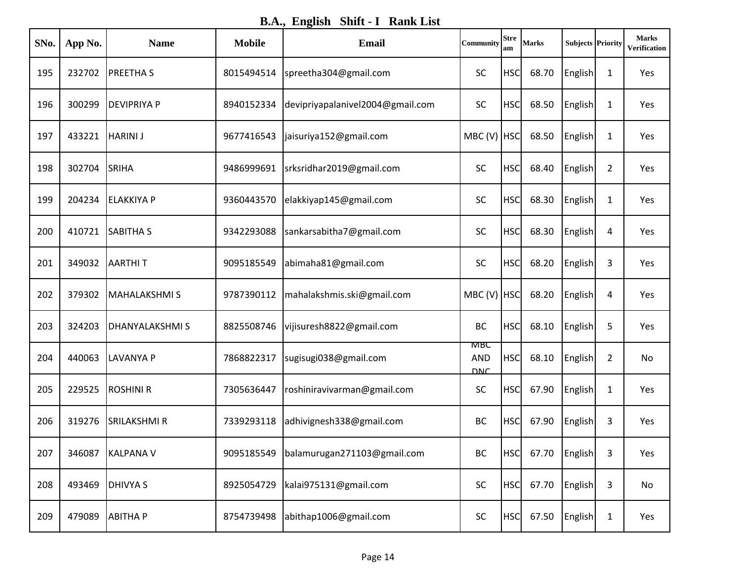**B.A., English Shift - I Rank List**

| SNo. | App No. | <b>Name</b>           | <b>Mobile</b> | <b>Email</b>                     | <b>Community</b>                | <b>Stre</b><br>am | <b>Marks</b> | <b>Subjects Priority</b> |                | <b>Marks</b><br><b>Verification</b> |
|------|---------|-----------------------|---------------|----------------------------------|---------------------------------|-------------------|--------------|--------------------------|----------------|-------------------------------------|
| 195  | 232702  | <b>PREETHAS</b>       | 8015494514    | spreetha304@gmail.com            | <b>SC</b>                       | <b>HSC</b>        | 68.70        | English                  | 1              | Yes                                 |
| 196  | 300299  | <b>DEVIPRIYA P</b>    | 8940152334    | devipriyapalanivel2004@gmail.com | SC                              | <b>HSC</b>        | 68.50        | English                  | 1              | Yes                                 |
| 197  | 433221  | <b>HARINI J</b>       | 9677416543    | jaisuriya152@gmail.com           | MBC (V) HSC                     |                   | 68.50        | <b>English</b>           | 1              | Yes                                 |
| 198  | 302704  | SRIHA                 | 9486999691    | srksridhar2019@gmail.com         | <b>SC</b>                       | <b>HSC</b>        | 68.40        | English                  | $\overline{2}$ | Yes                                 |
| 199  | 204234  | <b>ELAKKIYA P</b>     | 9360443570    | elakkiyap145@gmail.com           | <b>SC</b>                       | <b>HSC</b>        | 68.30        | English                  | 1              | Yes                                 |
| 200  | 410721  | <b>SABITHA S</b>      | 9342293088    | sankarsabitha7@gmail.com         | <b>SC</b>                       | <b>HSC</b>        | 68.30        | English                  | 4              | Yes                                 |
| 201  | 349032  | <b>AARTHIT</b>        | 9095185549    | abimaha81@gmail.com              | <b>SC</b>                       | <b>HSC</b>        | 68.20        | English                  | 3              | Yes                                 |
| 202  | 379302  | <b>MAHALAKSHMIS</b>   | 9787390112    | mahalakshmis.ski@gmail.com       | MBC (V) HSC                     |                   | 68.20        | English                  | 4              | Yes                                 |
| 203  | 324203  | <b>DHANYALAKSHMIS</b> | 8825508746    | vijisuresh8822@gmail.com         | <b>BC</b>                       | <b>HSC</b>        | 68.10        | <b>English</b>           | 5              | Yes                                 |
| 204  | 440063  | <b>LAVANYA P</b>      | 7868822317    | sugisugi038@gmail.com            | мвс<br><b>AND</b><br><b>DNC</b> | <b>HSC</b>        | 68.10        | English                  | $\overline{2}$ | No                                  |
| 205  | 229525  | <b>ROSHINI R</b>      | 7305636447    | roshiniravivarman@gmail.com      | <b>SC</b>                       | <b>HSC</b>        | 67.90        | English                  | 1              | Yes                                 |
| 206  | 319276  | <b>SRILAKSHMI R</b>   | 7339293118    | adhivignesh338@gmail.com         | <b>BC</b>                       | <b>HSC</b>        | 67.90        | English                  | 3              | Yes                                 |
| 207  | 346087  | KALPANA V             | 9095185549    | balamurugan271103@gmail.com      | BC                              | <b>HSC</b>        |              | 67.70 English            | 3              | Yes                                 |
| 208  | 493469  | <b>DHIVYA S</b>       | 8925054729    | kalai975131@gmail.com            | <b>SC</b>                       | <b>HSC</b>        | 67.70        | <b>English</b>           | 3              | No                                  |
| 209  | 479089  | <b>ABITHAP</b>        | 8754739498    | abithap1006@gmail.com            | SC                              | <b>HSC</b>        | 67.50        | <b>English</b>           | $\mathbf{1}$   | Yes                                 |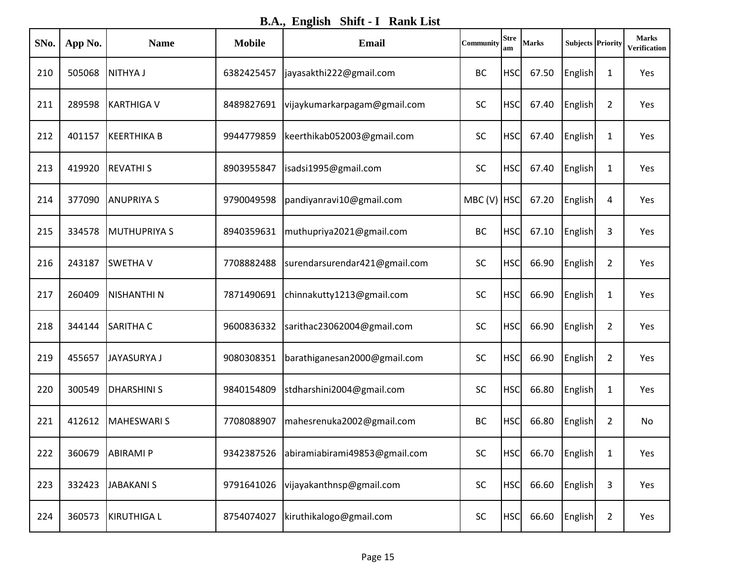**B.A., English Shift - I Rank List**

| SNo. | App No. | <b>Name</b>         | <b>Mobile</b> | <b>Email</b>                  | Community   | <b>Stre</b><br>am | <b>Marks</b> | <b>Subjects Priority</b> |                | <b>Marks</b><br>Verification |
|------|---------|---------------------|---------------|-------------------------------|-------------|-------------------|--------------|--------------------------|----------------|------------------------------|
| 210  | 505068  | <b>NITHYA J</b>     | 6382425457    | jayasakthi222@gmail.com       | <b>BC</b>   | <b>HSC</b>        | 67.50        | English                  | 1              | Yes                          |
| 211  | 289598  | <b>KARTHIGA V</b>   | 8489827691    | vijaykumarkarpagam@gmail.com  | <b>SC</b>   | <b>HSC</b>        | 67.40        | English                  | $\overline{2}$ | Yes                          |
| 212  | 401157  | KEERTHIKA B         | 9944779859    | keerthikab052003@gmail.com    | <b>SC</b>   | <b>HSC</b>        | 67.40        | English                  | 1              | Yes                          |
| 213  | 419920  | <b>REVATHIS</b>     | 8903955847    | isadsi1995@gmail.com          | <b>SC</b>   | <b>HSC</b>        | 67.40        | English                  | 1              | Yes                          |
| 214  | 377090  | <b>ANUPRIYA S</b>   | 9790049598    | pandiyanravi10@gmail.com      | MBC (V) HSC |                   | 67.20        | English                  | 4              | Yes                          |
| 215  | 334578  | <b>MUTHUPRIYA S</b> | 8940359631    | muthupriya2021@gmail.com      | <b>BC</b>   | <b>HSC</b>        | 67.10        | English                  | 3              | Yes                          |
| 216  | 243187  | <b>SWETHAV</b>      | 7708882488    | surendarsurendar421@gmail.com | <b>SC</b>   | <b>HSC</b>        | 66.90        | English                  | $\overline{2}$ | Yes                          |
| 217  | 260409  | <b>NISHANTHI N</b>  | 7871490691    | chinnakutty1213@gmail.com     | <b>SC</b>   | <b>HSC</b>        | 66.90        | English                  | 1              | Yes                          |
| 218  | 344144  | <b>SARITHA C</b>    | 9600836332    | sarithac23062004@gmail.com    | SC          | <b>HSC</b>        | 66.90        | English                  | $\overline{2}$ | Yes                          |
| 219  | 455657  | <b>JAYASURYA J</b>  | 9080308351    | barathiganesan2000@gmail.com  | <b>SC</b>   | <b>HSC</b>        | 66.90        | English                  | $\overline{2}$ | Yes                          |
| 220  | 300549  | <b>DHARSHINI S</b>  | 9840154809    | stdharshini2004@gmail.com     | <b>SC</b>   | <b>HSC</b>        | 66.80        | English                  | 1              | Yes                          |
| 221  | 412612  | <b>MAHESWARI S</b>  | 7708088907    | mahesrenuka2002@gmail.com     | <b>BC</b>   | <b>HSC</b>        | 66.80        | English                  | $\overline{2}$ | No                           |
| 222  | 360679  | <b>ABIRAMI P</b>    | 9342387526    | abiramiabirami49853@gmail.com | SC          | <b>HSC</b>        | 66.70        | English                  | 1              | Yes                          |
| 223  | 332423  | JABAKANI S          | 9791641026    | vijayakanthnsp@gmail.com      | <b>SC</b>   | <b>HSC</b>        | 66.60        | <b>English</b>           | 3              | Yes                          |
| 224  | 360573  | KIRUTHIGA L         | 8754074027    | kiruthikalogo@gmail.com       | <b>SC</b>   | <b>HSC</b>        | 66.60        | <b>English</b>           | $\overline{2}$ | Yes                          |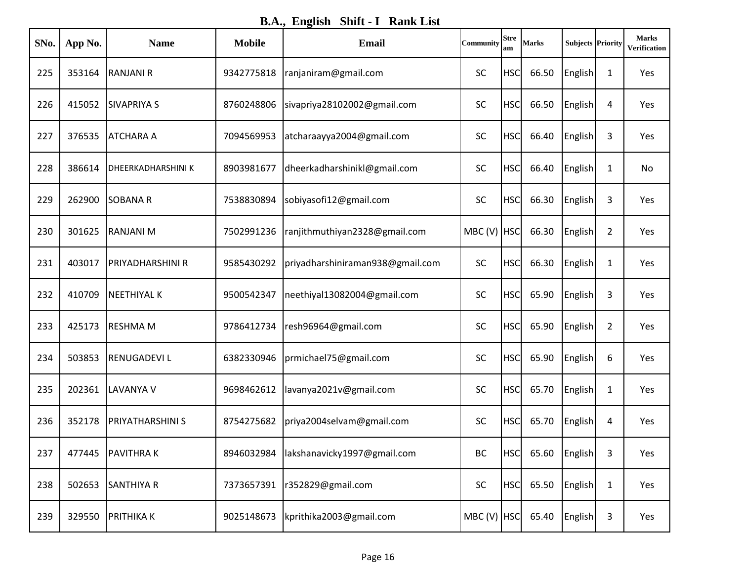**B.A., English Shift - I Rank List**

| SNo. | App No. | <b>Name</b>               | <b>Mobile</b> | <b>Email</b>                     | Community   | <b>Stre</b><br>am | <b>Marks</b> | <b>Subjects Priority</b> |                | <b>Marks</b><br>Verification |
|------|---------|---------------------------|---------------|----------------------------------|-------------|-------------------|--------------|--------------------------|----------------|------------------------------|
| 225  | 353164  | <b>RANJANI R</b>          | 9342775818    | ranjaniram@gmail.com             | <b>SC</b>   | <b>HSC</b>        | 66.50        | English                  | 1              | Yes                          |
| 226  | 415052  | <b>SIVAPRIYA S</b>        | 8760248806    | sivapriya28102002@gmail.com      | <b>SC</b>   | <b>HSC</b>        | 66.50        | English                  | 4              | Yes                          |
| 227  | 376535  | <b>ATCHARA A</b>          | 7094569953    | atcharaayya2004@gmail.com        | <b>SC</b>   | <b>HSC</b>        | 66.40        | English                  | 3              | Yes                          |
| 228  | 386614  | <b>DHEERKADHARSHINI K</b> | 8903981677    | dheerkadharshinikl@gmail.com     | <b>SC</b>   | <b>HSC</b>        | 66.40        | English                  | 1              | No                           |
| 229  | 262900  | <b>SOBANAR</b>            | 7538830894    | sobiyasofi12@gmail.com           | <b>SC</b>   | <b>HSC</b>        | 66.30        | English                  | 3              | Yes                          |
| 230  | 301625  | <b>RANJANI M</b>          | 7502991236    | ranjithmuthiyan2328@gmail.com    | MBC (V) HSC |                   | 66.30        | English                  | $\overline{2}$ | Yes                          |
| 231  | 403017  | PRIYADHARSHINI R          | 9585430292    | priyadharshiniraman938@gmail.com | <b>SC</b>   | <b>HSC</b>        | 66.30        | English                  | 1              | Yes                          |
| 232  | 410709  | <b>NEETHIYAL K</b>        | 9500542347    | neethiyal13082004@gmail.com      | <b>SC</b>   | <b>HSC</b>        | 65.90        | English                  | 3              | Yes                          |
| 233  | 425173  | <b>RESHMAM</b>            | 9786412734    | resh96964@gmail.com              | SC          | <b>HSC</b>        | 65.90        | English                  | $\overline{2}$ | Yes                          |
| 234  | 503853  | <b>RENUGADEVIL</b>        | 6382330946    | prmichael75@gmail.com            | <b>SC</b>   | <b>HSC</b>        | 65.90        | English                  | 6              | Yes                          |
| 235  | 202361  | <b>LAVANYA V</b>          | 9698462612    | lavanya2021v@gmail.com           | <b>SC</b>   | <b>HSC</b>        | 65.70        | English                  | 1              | Yes                          |
| 236  | 352178  | <b>PRIYATHARSHINI S</b>   | 8754275682    | priya2004selvam@gmail.com        | <b>SC</b>   | <b>HSC</b>        | 65.70        | <b>English</b>           | 4              | Yes                          |
| 237  | 477445  | <b>PAVITHRAK</b>          | 8946032984    | lakshanavicky1997@gmail.com      | BC          | <b>HSC</b>        |              | 65.60 English            | 3              | Yes                          |
| 238  | 502653  | <b>SANTHIYA R</b>         | 7373657391    | r352829@gmail.com                | <b>SC</b>   | <b>HSC</b>        | 65.50        | <b>English</b>           | $\mathbf{1}$   | Yes                          |
| 239  | 329550  | <b>PRITHIKA K</b>         | 9025148673    | kprithika2003@gmail.com          | MBC (V) HSC |                   | 65.40        | <b>English</b>           | 3              | Yes                          |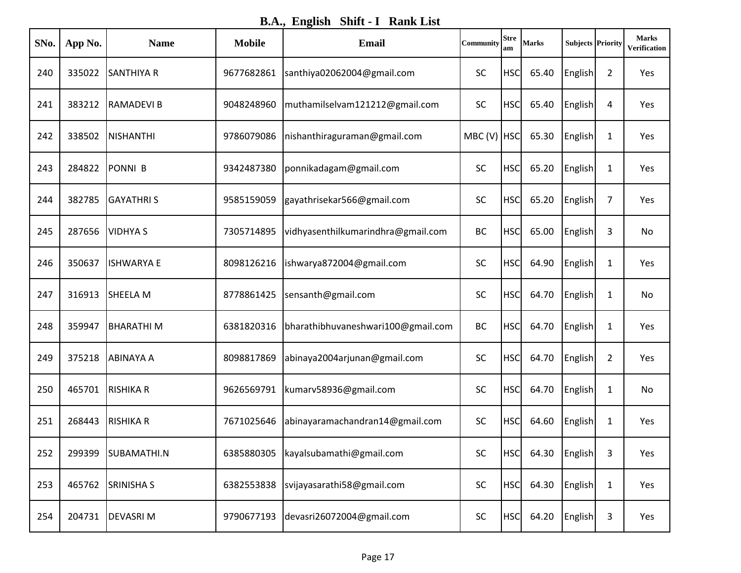**B.A., English Shift - I Rank List**

| SNo. | App No. | <b>Name</b>       | <b>Mobile</b> | <b>Email</b>                       | Community   | <b>Stre</b><br>am | <b>Marks</b> | <b>Subjects Priority</b> |                | <b>Marks</b><br>Verification |
|------|---------|-------------------|---------------|------------------------------------|-------------|-------------------|--------------|--------------------------|----------------|------------------------------|
| 240  | 335022  | <b>SANTHIYA R</b> | 9677682861    | santhiya02062004@gmail.com         | <b>SC</b>   | <b>HSC</b>        | 65.40        | English                  | $\overline{2}$ | Yes                          |
| 241  | 383212  | <b>RAMADEVIB</b>  | 9048248960    | muthamilselvam121212@gmail.com     | <b>SC</b>   | <b>HSC</b>        | 65.40        | English                  | 4              | Yes                          |
| 242  | 338502  | <b>NISHANTHI</b>  | 9786079086    | nishanthiraguraman@gmail.com       | MBC (V) HSC |                   | 65.30        | English                  | 1              | Yes                          |
| 243  | 284822  | <b>PONNI B</b>    | 9342487380    | ponnikadagam@gmail.com             | <b>SC</b>   | <b>HSC</b>        | 65.20        | English                  | 1              | Yes                          |
| 244  | 382785  | <b>GAYATHRIS</b>  | 9585159059    | gayathrisekar566@gmail.com         | <b>SC</b>   | <b>HSC</b>        | 65.20        | English                  | 7              | Yes                          |
| 245  | 287656  | <b>VIDHYAS</b>    | 7305714895    | vidhyasenthilkumarindhra@gmail.com | <b>BC</b>   | <b>HSC</b>        | 65.00        | English                  | 3              | No                           |
| 246  | 350637  | <b>ISHWARYA E</b> | 8098126216    | ishwarya872004@gmail.com           | <b>SC</b>   | <b>HSC</b>        | 64.90        | English                  | 1              | Yes                          |
| 247  | 316913  | <b>SHEELA M</b>   | 8778861425    | sensanth@gmail.com                 | <b>SC</b>   | <b>HSC</b>        | 64.70        | English                  | 1              | No                           |
| 248  | 359947  | <b>BHARATHIM</b>  | 6381820316    | bharathibhuvaneshwari100@gmail.com | <b>BC</b>   | <b>HSC</b>        | 64.70        | English                  | $\mathbf{1}$   | Yes                          |
| 249  | 375218  | <b>ABINAYA A</b>  | 8098817869    | abinaya2004arjunan@gmail.com       | <b>SC</b>   | <b>HSC</b>        | 64.70        | English                  | $\overline{2}$ | Yes                          |
| 250  | 465701  | <b>RISHIKA R</b>  | 9626569791    | kumarv58936@gmail.com              | <b>SC</b>   | <b>HSC</b>        | 64.70        | English                  | $\mathbf{1}$   | No                           |
| 251  | 268443  | <b>RISHIKA R</b>  | 7671025646    | abinayaramachandran14@gmail.com    | <b>SC</b>   | <b>HSC</b>        | 64.60        | English                  | $\mathbf{1}$   | Yes                          |
| 252  | 299399  | SUBAMATHI.N       | 6385880305    | kayalsubamathi@gmail.com           | SC          | <b>HSC</b>        | 64.30        | English                  | 3              | Yes                          |
| 253  | 465762  | <b>SRINISHA S</b> | 6382553838    | svijayasarathi58@gmail.com         | SC          | <b>HSC</b>        | 64.30        | English                  | $\mathbf{1}$   | Yes                          |
| 254  | 204731  | <b>DEVASRIM</b>   | 9790677193    | devasri26072004@gmail.com          | SC          | <b>HSC</b>        | 64.20        | English                  | 3              | Yes                          |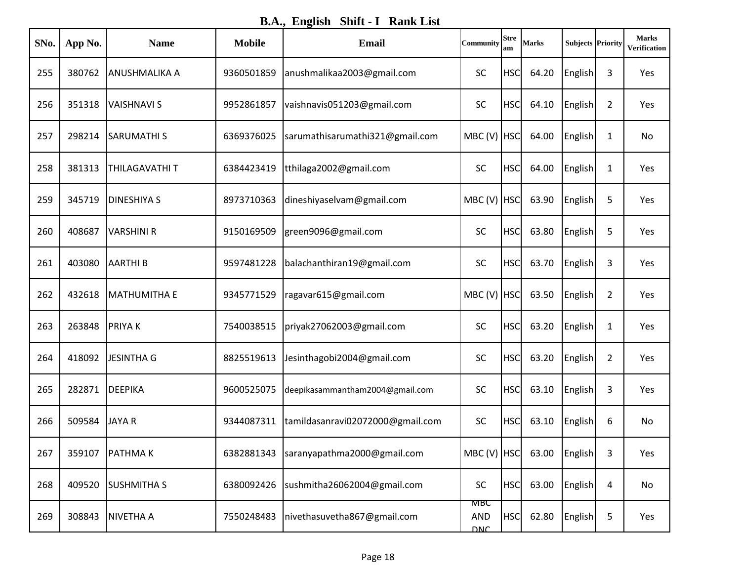**B.A., English Shift - I Rank List**

| SNo. | App No. | <b>Name</b>          | <b>Mobile</b> | Email                            | Community                              | <b>Stre</b><br>am | <b>Marks</b>                      | <b>Subjects Priority</b> |                | <b>Marks</b><br>Verification |
|------|---------|----------------------|---------------|----------------------------------|----------------------------------------|-------------------|-----------------------------------|--------------------------|----------------|------------------------------|
| 255  | 380762  | <b>ANUSHMALIKA A</b> | 9360501859    | anushmalikaa2003@gmail.com       | <b>SC</b>                              | <b>HSC</b>        | 64.20                             | English                  | 3              | Yes                          |
| 256  | 351318  | <b>VAISHNAVI S</b>   | 9952861857    | vaishnavis051203@gmail.com       | <b>SC</b>                              | <b>HSC</b>        | 64.10                             | English                  | 2              | Yes                          |
| 257  | 298214  | <b>SARUMATHIS</b>    | 6369376025    | sarumathisarumathi321@gmail.com  | MBC (V) HSC                            |                   | 64.00                             | English                  | 1              | No                           |
| 258  | 381313  | THILAGAVATHI T       | 6384423419    | tthilaga2002@gmail.com           | <b>SC</b>                              | <b>HSC</b>        | 64.00                             | English                  | 1              | Yes                          |
| 259  | 345719  | <b>DINESHIYA S</b>   | 8973710363    | dineshiyaselvam@gmail.com        | MBC (V) HSC                            |                   | 63.90                             | English                  | 5              | Yes                          |
| 260  | 408687  | <b>VARSHINI R</b>    | 9150169509    | green9096@gmail.com              | <b>SC</b>                              | <b>HSC</b>        | 63.80                             | English                  | 5              | Yes                          |
| 261  | 403080  | <b>AARTHIB</b>       | 9597481228    | balachanthiran19@gmail.com       | <b>SC</b>                              | <b>HSC</b>        | 63.70                             | English                  | 3              | Yes                          |
| 262  | 432618  | <b>MATHUMITHA E</b>  | 9345771529    | ragavar615@gmail.com             | MBC (V) HSC                            |                   | 63.50                             | English                  | $\overline{2}$ | Yes                          |
| 263  | 263848  | <b>PRIYAK</b>        | 7540038515    | priyak27062003@gmail.com         | SC                                     | <b>HSC</b>        | 63.20                             | English                  | 1              | Yes                          |
| 264  | 418092  | <b>JESINTHA G</b>    | 8825519613    | Jesinthagobi2004@gmail.com       | <b>SC</b>                              | <b>HSC</b>        | 63.20                             | English                  | $\overline{2}$ | Yes                          |
| 265  | 282871  | <b>DEEPIKA</b>       | 9600525075    | deepikasammantham2004@gmail.com  | <b>SC</b>                              | <b>HSC</b>        | 63.10                             | English                  | 3              | Yes                          |
| 266  | 509584  | <b>JAYAR</b>         | 9344087311    | tamildasanravi02072000@gmail.com | SC                                     | <b>HSC</b>        | 63.10                             | English                  | 6              | No                           |
| 267  | 359107  | <b>PATHMAK</b>       | 6382881343    | saranyapathma2000@gmail.com      |                                        |                   | MBC (V) $ HSC $ 63.00 $ English $ |                          | 3              | Yes                          |
| 268  | 409520  | <b>SUSHMITHA S</b>   | 6380092426    | sushmitha26062004@gmail.com      | <b>SC</b>                              | <b>HSC</b>        | 63.00                             | English                  | 4              | No                           |
| 269  | 308843  | <b>NIVETHA A</b>     | 7550248483    | nivethasuvetha867@gmail.com      | <b>MBC</b><br><b>AND</b><br><b>DNC</b> | <b>HSC</b>        | 62.80                             | English                  | 5              | Yes                          |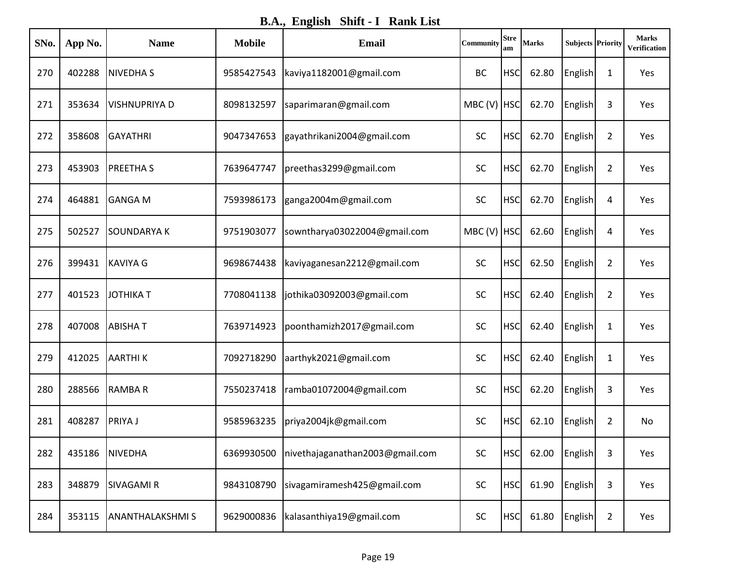**B.A., English Shift - I Rank List**

| SNo. | App No. | <b>Name</b>            | <b>Mobile</b> | <b>Email</b>                    | Community   | <b>Stre</b><br>am | <b>Marks</b> | <b>Subjects Priority</b> |                | <b>Marks</b><br><b>Verification</b> |
|------|---------|------------------------|---------------|---------------------------------|-------------|-------------------|--------------|--------------------------|----------------|-------------------------------------|
| 270  | 402288  | <b>NIVEDHAS</b>        | 9585427543    | kaviya1182001@gmail.com         | <b>BC</b>   | <b>HSC</b>        | 62.80        | English                  | 1              | Yes                                 |
| 271  | 353634  | <b>VISHNUPRIYA D</b>   | 8098132597    | saparimaran@gmail.com           | MBC (V) HSC |                   | 62.70        | English                  | 3              | Yes                                 |
| 272  | 358608  | <b>GAYATHRI</b>        | 9047347653    | gayathrikani2004@gmail.com      | SC          | <b>HSC</b>        | 62.70        | English                  | $\overline{2}$ | Yes                                 |
| 273  | 453903  | <b>PREETHAS</b>        | 7639647747    | preethas3299@gmail.com          | <b>SC</b>   | <b>HSC</b>        | 62.70        | English                  | $\overline{2}$ | Yes                                 |
| 274  | 464881  | <b>GANGA M</b>         | 7593986173    | ganga2004m@gmail.com            | SC          | <b>HSC</b>        | 62.70        | English                  | 4              | Yes                                 |
| 275  | 502527  | <b>SOUNDARYAK</b>      | 9751903077    | sowntharya03022004@gmail.com    | MBC (V) HSC |                   | 62.60        | English                  | 4              | Yes                                 |
| 276  | 399431  | <b>KAVIYA G</b>        | 9698674438    | kaviyaganesan2212@gmail.com     | <b>SC</b>   | <b>HSC</b>        | 62.50        | English                  | $\overline{2}$ | Yes                                 |
| 277  | 401523  | <b>JOTHIKAT</b>        | 7708041138    | jothika03092003@gmail.com       | <b>SC</b>   | <b>HSC</b>        | 62.40        | English                  | $\overline{2}$ | Yes                                 |
| 278  | 407008  | <b>ABISHAT</b>         | 7639714923    | poonthamizh2017@gmail.com       | <b>SC</b>   | <b>HSC</b>        | 62.40        | English                  | 1              | Yes                                 |
| 279  | 412025  | <b>AARTHIK</b>         | 7092718290    | aarthyk2021@gmail.com           | <b>SC</b>   | <b>HSC</b>        | 62.40        | English                  | 1              | Yes                                 |
| 280  | 288566  | <b>RAMBAR</b>          | 7550237418    | ramba01072004@gmail.com         | <b>SC</b>   | <b>HSC</b>        | 62.20        | English                  | 3              | Yes                                 |
| 281  | 408287  | <b>PRIYAJ</b>          | 9585963235    | priya2004jk@gmail.com           | SC          | <b>HSC</b>        | 62.10        | English                  | $\overline{2}$ | No                                  |
| 282  | 435186  | <b>NIVEDHA</b>         | 6369930500    | nivethajaganathan2003@gmail.com | SC          | <b>HSC</b>        | 62.00        | English                  | 3              | Yes                                 |
| 283  | 348879  | <b>SIVAGAMI R</b>      | 9843108790    | sivagamiramesh425@gmail.com     | <b>SC</b>   | <b>HSC</b>        | 61.90        | English                  | 3              | Yes                                 |
| 284  | 353115  | <b>ANANTHALAKSHMIS</b> | 9629000836    | kalasanthiya19@gmail.com        | SC          | <b>HSC</b>        | 61.80        | <b>English</b>           | $\overline{2}$ | Yes                                 |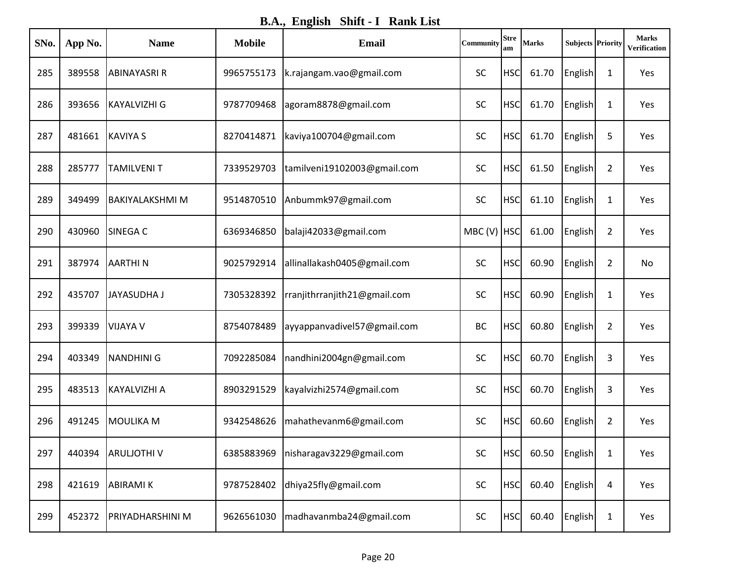**B.A., English Shift - I Rank List**

| SNo. | App No. | <b>Name</b>            | <b>Mobile</b> | <b>Email</b>                 | Community   | <b>Stre</b><br>am | <b>Marks</b> | <b>Subjects Priority</b> |                | <b>Marks</b><br>Verification |
|------|---------|------------------------|---------------|------------------------------|-------------|-------------------|--------------|--------------------------|----------------|------------------------------|
| 285  | 389558  | <b>ABINAYASRI R</b>    | 9965755173    | k.rajangam.vao@gmail.com     | <b>SC</b>   | <b>HSC</b>        | 61.70        | English                  | 1              | Yes                          |
| 286  | 393656  | KAYALVIZHI G           | 9787709468    | agoram8878@gmail.com         | <b>SC</b>   | <b>HSC</b>        | 61.70        | English                  | 1              | Yes                          |
| 287  | 481661  | <b>KAVIYA S</b>        | 8270414871    | kaviya100704@gmail.com       | SC          | <b>HSC</b>        | 61.70        | English                  | 5              | Yes                          |
| 288  | 285777  | <b>TAMILVENIT</b>      | 7339529703    | tamilveni19102003@gmail.com  | SC          | <b>HSC</b>        | 61.50        | English                  | $\overline{2}$ | Yes                          |
| 289  | 349499  | <b>BAKIYALAKSHMI M</b> | 9514870510    | Anbummk97@gmail.com          | SC          | <b>HSC</b>        | 61.10        | English                  | 1              | Yes                          |
| 290  | 430960  | SINEGA C               | 6369346850    | balaji42033@gmail.com        | MBC (V) HSC |                   | 61.00        | English                  | $\overline{2}$ | Yes                          |
| 291  | 387974  | <b>AARTHIN</b>         | 9025792914    | allinallakash0405@gmail.com  | <b>SC</b>   | <b>HSC</b>        | 60.90        | English                  | $\overline{2}$ | No                           |
| 292  | 435707  | <b>JAYASUDHA J</b>     | 7305328392    | rranjithrranjith21@gmail.com | SC          | <b>HSC</b>        | 60.90        | English                  | 1              | Yes                          |
| 293  | 399339  | <b>VIJAYA V</b>        | 8754078489    | ayyappanvadivel57@gmail.com  | <b>BC</b>   | <b>HSC</b>        | 60.80        | English                  | $\overline{2}$ | Yes                          |
| 294  | 403349  | <b>NANDHINI G</b>      | 7092285084    | nandhini2004gn@gmail.com     | <b>SC</b>   | <b>HSC</b>        | 60.70        | English                  | 3              | Yes                          |
| 295  | 483513  | KAYALVIZHI A           | 8903291529    | kayalvizhi2574@gmail.com     | <b>SC</b>   | <b>HSC</b>        | 60.70        | English                  | 3              | Yes                          |
| 296  | 491245  | <b>MOULIKA M</b>       | 9342548626    | mahathevanm6@gmail.com       | SC          | <b>HSC</b>        | 60.60        | English                  | $\overline{2}$ | Yes                          |
| 297  | 440394  | <b>ARULIOTHIV</b>      | 6385883969    | nisharagav3229@gmail.com     | SC          | <b>HSC</b>        |              | 60.50 English            | $\mathbf{1}$   | Yes                          |
| 298  | 421619  | <b>ABIRAMIK</b>        | 9787528402    | dhiya25fly@gmail.com         | SC          | <b>HSC</b>        | 60.40        | English                  | 4              | Yes                          |
| 299  | 452372  | PRIYADHARSHINI M       | 9626561030    | madhavanmba24@gmail.com      | SC          | <b>HSC</b>        | 60.40        | English                  | $\mathbf{1}$   | Yes                          |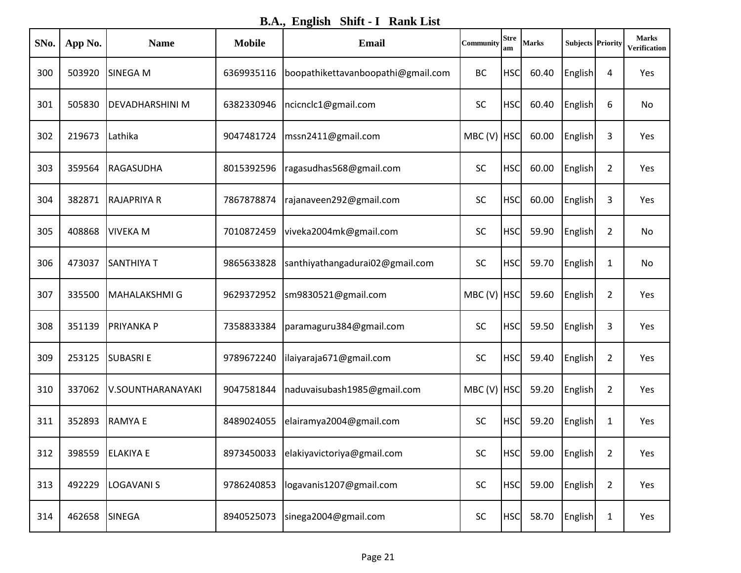**B.A., English Shift - I Rank List**

| SNo. | App No. | <b>Name</b>          | <b>Mobile</b> | Email                                 | Community   | <b>Stre</b><br>am | <b>Marks</b> | <b>Subjects Priority</b> |                | <b>Marks</b><br><b>Verification</b> |
|------|---------|----------------------|---------------|---------------------------------------|-------------|-------------------|--------------|--------------------------|----------------|-------------------------------------|
| 300  | 503920  | SINEGA M             | 6369935116    | boopathikettavanboopathi@gmail.com    | <b>BC</b>   | <b>HSC</b>        | 60.40        | English                  | 4              | Yes                                 |
| 301  | 505830  | DEVADHARSHINI M      | 6382330946    | ncicnclc1@gmail.com                   | <b>SC</b>   | <b>HSC</b>        | 60.40        | English                  | 6              | No                                  |
| 302  | 219673  | Lathika              | 9047481724    | mssn2411@gmail.com                    | MBC (V) HSC |                   | 60.00        | English                  | 3              | Yes                                 |
| 303  | 359564  | <b>RAGASUDHA</b>     | 8015392596    | ragasudhas568@gmail.com               | <b>SC</b>   | <b>HSC</b>        | 60.00        | English                  | $\overline{2}$ | Yes                                 |
| 304  | 382871  | <b>RAJAPRIYA R</b>   | 7867878874    | rajanaveen292@gmail.com               | <b>SC</b>   | <b>HSC</b>        | 60.00        | English                  | 3              | Yes                                 |
| 305  | 408868  | <b>VIVEKA M</b>      | 7010872459    | viveka2004mk@gmail.com                | SC          | <b>HSC</b>        | 59.90        | English                  | $\overline{2}$ | No                                  |
| 306  | 473037  | <b>SANTHIYA T</b>    | 9865633828    | santhiyathangadurai02@gmail.com       | <b>SC</b>   | <b>HSC</b>        | 59.70        | English                  | 1              | No                                  |
| 307  | 335500  | <b>MAHALAKSHMI G</b> | 9629372952    | sm9830521@gmail.com                   | MBC (V) HSC |                   | 59.60        | English                  | $\overline{2}$ | Yes                                 |
| 308  | 351139  | <b>PRIYANKA P</b>    | 7358833384    | paramaguru384@gmail.com               | <b>SC</b>   | <b>HSC</b>        | 59.50        | English                  | 3              | Yes                                 |
| 309  | 253125  | <b>SUBASRIE</b>      | 9789672240    | ilaiyaraja671@gmail.com               | <b>SC</b>   | <b>HSC</b>        | 59.40        | English                  | $\overline{2}$ | Yes                                 |
| 310  | 337062  | V.SOUNTHARANAYAKI    | 9047581844    | naduvaisubash1985@gmail.com           | MBC (V) HSC |                   | 59.20        | English                  | $\overline{2}$ | Yes                                 |
| 311  | 352893  | <b>RAMYAE</b>        | 8489024055    | elairamya2004@gmail.com               | <b>SC</b>   | <b>HSC</b>        | 59.20        | English                  | 1              | Yes                                 |
| 312  | 398559  | <b>ELAKIYA E</b>     |               | 8973450033 elakiyavictoriya@gmail.com | SC          | <b>HSC</b>        |              | 59.00 English            | $\overline{2}$ | Yes                                 |
| 313  | 492229  | <b>LOGAVANIS</b>     | 9786240853    | logavanis1207@gmail.com               | <b>SC</b>   | <b>HSC</b>        | 59.00        | <b>English</b>           | $\overline{2}$ | Yes                                 |
| 314  | 462658  | SINEGA               | 8940525073    | sinega2004@gmail.com                  | SC          | <b>HSC</b>        | 58.70        | <b>English</b>           | $\mathbf{1}$   | Yes                                 |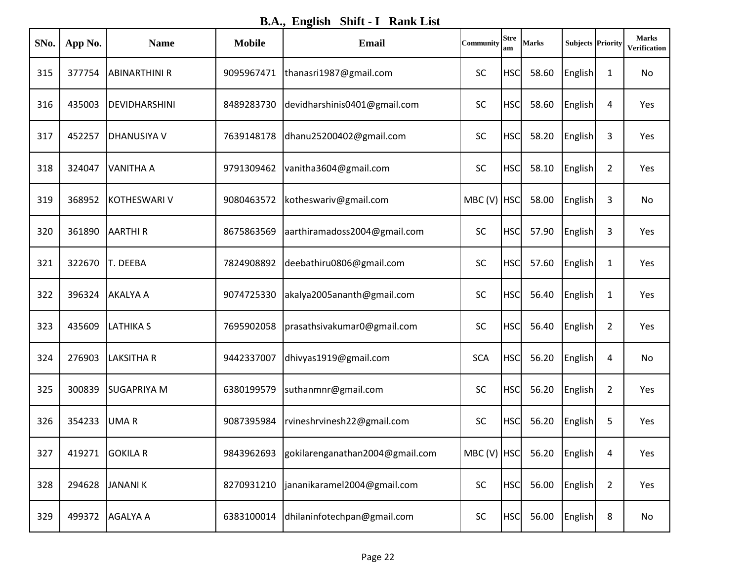**B.A., English Shift - I Rank List**

| SNo. | App No. | <b>Name</b>          | <b>Mobile</b> | <b>Email</b>                               | Community   | <b>Stre</b><br>am | <b>Marks</b>                      | <b>Subjects Priority</b> |                | <b>Marks</b><br>Verification |
|------|---------|----------------------|---------------|--------------------------------------------|-------------|-------------------|-----------------------------------|--------------------------|----------------|------------------------------|
| 315  | 377754  | <b>ABINARTHINI R</b> | 9095967471    | thanasri1987@gmail.com                     | <b>SC</b>   | <b>HSC</b>        | 58.60                             | English                  | 1              | No                           |
| 316  | 435003  | <b>DEVIDHARSHINI</b> | 8489283730    | devidharshinis0401@gmail.com               | <b>SC</b>   | <b>HSC</b>        | 58.60                             | English                  | 4              | Yes                          |
| 317  | 452257  | <b>DHANUSIYA V</b>   | 7639148178    | dhanu25200402@gmail.com                    | SC          | <b>HSC</b>        | 58.20                             | English                  | 3              | Yes                          |
| 318  | 324047  | <b>VANITHA A</b>     | 9791309462    | vanitha3604@gmail.com                      | SC          | <b>HSC</b>        | 58.10                             | English                  | $\overline{2}$ | Yes                          |
| 319  | 368952  | KOTHESWARI V         | 9080463572    | kotheswariv@gmail.com                      | MBC (V) HSC |                   | 58.00                             | English                  | 3              | No                           |
| 320  | 361890  | <b>AARTHIR</b>       | 8675863569    | aarthiramadoss2004@gmail.com               | <b>SC</b>   | <b>HSC</b>        | 57.90                             | English                  | 3              | Yes                          |
| 321  | 322670  | T. DEEBA             | 7824908892    | deebathiru0806@gmail.com                   | <b>SC</b>   | <b>HSC</b>        | 57.60                             | English                  | 1              | Yes                          |
| 322  | 396324  | <b>AKALYA A</b>      | 9074725330    | akalya2005ananth@gmail.com                 | SC          | <b>HSC</b>        | 56.40                             | English                  | 1              | Yes                          |
| 323  | 435609  | <b>LATHIKA S</b>     | 7695902058    | prasathsivakumar0@gmail.com                | SC          | <b>HSC</b>        | 56.40                             | English                  | $\overline{2}$ | Yes                          |
| 324  | 276903  | <b>LAKSITHA R</b>    | 9442337007    | dhivyas1919@gmail.com                      | <b>SCA</b>  | <b>HSC</b>        | 56.20                             | English                  | 4              | No                           |
| 325  | 300839  | <b>SUGAPRIYA M</b>   | 6380199579    | suthanmnr@gmail.com                        | <b>SC</b>   | <b>HSC</b>        | 56.20                             | English                  | $\overline{2}$ | Yes                          |
| 326  | 354233  | UMAR                 | 9087395984    | rvineshrvinesh22@gmail.com                 | SC          | <b>HSC</b>        | 56.20                             | English                  | 5              | Yes                          |
| 327  | 419271  | <b>GOKILA R</b>      |               | 9843962693 gokilarenganathan2004@gmail.com |             |                   | MBC (V) $ HSC $ 56.20 $ English $ |                          | 4              | Yes                          |
| 328  | 294628  | <b>JANANIK</b>       | 8270931210    | jananikaramel2004@gmail.com                | <b>SC</b>   | <b>HSC</b>        | 56.00                             | English                  | $\overline{2}$ | Yes                          |
| 329  | 499372  | <b>AGALYA A</b>      | 6383100014    | dhilaninfotechpan@gmail.com                | SC          | <b>HSC</b>        | 56.00                             | English                  | 8              | No                           |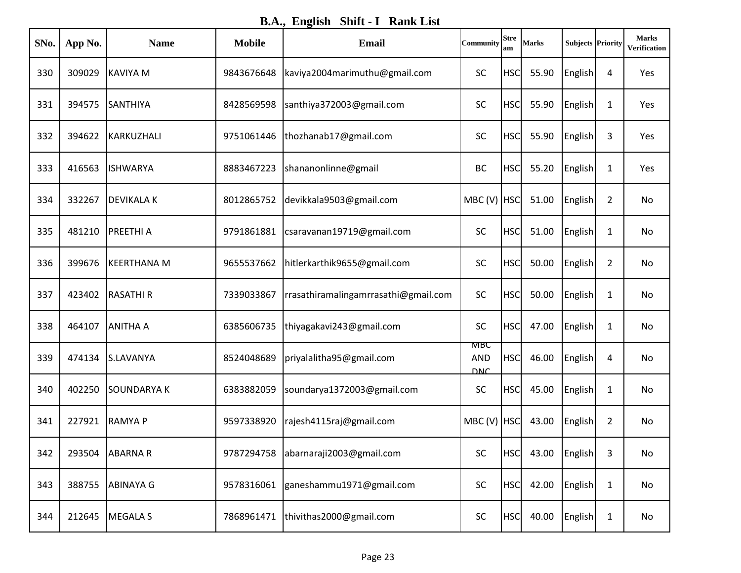**B.A., English Shift - I Rank List**

| SNo. | App No. | <b>Name</b>        | <b>Mobile</b> | Email                                | Community                       | <b>Stre</b><br>am | <b>Marks</b>  | <b>Subjects Priority</b> |                | <b>Marks</b><br>Verification |
|------|---------|--------------------|---------------|--------------------------------------|---------------------------------|-------------------|---------------|--------------------------|----------------|------------------------------|
| 330  | 309029  | KAVIYA M           | 9843676648    | kaviya2004 marimuthu@gmail.com       | <b>SC</b>                       | <b>HSC</b>        | 55.90         | English                  | 4              | Yes                          |
| 331  | 394575  | <b>SANTHIYA</b>    | 8428569598    | santhiya372003@gmail.com             | <b>SC</b>                       | <b>HSC</b>        | 55.90         | English                  | 1              | Yes                          |
| 332  | 394622  | KARKUZHALI         | 9751061446    | thozhanab17@gmail.com                | SC                              | <b>HSC</b>        | 55.90         | English                  | 3              | Yes                          |
| 333  | 416563  | <b>ISHWARYA</b>    | 8883467223    | shananonlinne@gmail                  | <b>BC</b>                       | <b>HSC</b>        | 55.20         | English                  | 1              | Yes                          |
| 334  | 332267  | <b>DEVIKALAK</b>   | 8012865752    | devikkala9503@gmail.com              | MBC (V) HSC                     |                   | 51.00         | English                  | $\overline{2}$ | No                           |
| 335  | 481210  | <b>PREETHIA</b>    | 9791861881    | csaravanan19719@gmail.com            | <b>SC</b>                       | <b>HSC</b>        | 51.00         | English                  | 1              | No                           |
| 336  | 399676  | <b>KEERTHANA M</b> | 9655537662    | hitlerkarthik9655@gmail.com          | <b>SC</b>                       | <b>HSC</b>        | 50.00         | English                  | $\overline{2}$ | No                           |
| 337  | 423402  | <b>RASATHIR</b>    | 7339033867    | rrasathiramalingamrrasathi@gmail.com | SC                              | <b>HSC</b>        | 50.00         | English                  | 1              | No                           |
| 338  | 464107  | <b>ANITHA A</b>    | 6385606735    | thiyagakavi243@gmail.com             | SC                              | <b>HSC</b>        | 47.00         | English                  | 1              | No                           |
| 339  | 474134  | S.LAVANYA          | 8524048689    | priyalalitha95@gmail.com             | мвс<br><b>AND</b><br><b>DNC</b> | <b>HSC</b>        | 46.00         | English                  | 4              | No                           |
| 340  | 402250  | <b>SOUNDARYAK</b>  | 6383882059    | soundarya1372003@gmail.com           | SC                              | <b>HSC</b>        | 45.00         | English                  | $\mathbf{1}$   | No                           |
| 341  | 227921  | <b>RAMYAP</b>      | 9597338920    | rajesh4115raj@gmail.com              | MBC (V) HSC                     |                   | 43.00         | English                  | $\overline{2}$ | No                           |
| 342  | 293504  | <b>ABARNAR</b>     | 9787294758    | abarnaraji2003@gmail.com             | SC                              | <b>HSC</b>        | 43.00 English |                          | 3              | No                           |
| 343  | 388755  | <b>ABINAYA G</b>   | 9578316061    | ganeshammu1971@gmail.com             | <b>SC</b>                       | <b>HSC</b>        | 42.00         | English                  | $\mathbf{1}$   | No                           |
| 344  | 212645  | <b>MEGALA S</b>    | 7868961471    | thivithas2000@gmail.com              | SC                              | <b>HSC</b>        | 40.00         | English                  | $\mathbf{1}$   | No                           |